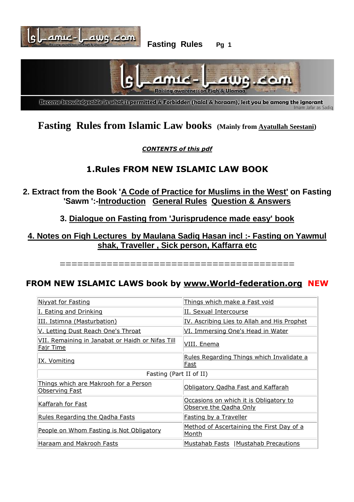



# **Fasting Rules from Islamic Law books (Mainly from Ayatullah Seestani)**

#### *CONTENTS of this pdf*

# **1.Rules FROM NEW ISLAMIC LAW BOOK**

- **2. Extract from the Book 'A Code of Practice for Muslims in the West' on Fasting 'Sawm ':-Introduction General Rules Question & Answers**
	- **3. Dialogue on Fasting from 'Jurisprudence made easy' book**

**4. Notes on Fiqh Lectures by Maulana Sadiq Hasan incl :- Fasting on Yawmul shak, Traveller , Sick person, Kaffarra etc**

========================================

### **FROM NEW ISLAMIC LAWS book by www.World-federation.org NEW**

| Niyyat for Fasting                                                   | Things which make a Fast void                                    |
|----------------------------------------------------------------------|------------------------------------------------------------------|
| I. Eating and Drinking                                               | II. Sexual Intercourse                                           |
| III. Istimna (Masturbation)                                          | IV. Ascribing Lies to Allah and His Prophet                      |
| V. Letting Dust Reach One's Throat                                   | VI. Immersing One's Head in Water                                |
| VII. Remaining in Janabat or Haidh or Nifas Till<br><u>Fajr Time</u> | <u>VIII. Enema</u>                                               |
| <u>IX. Vomiting</u>                                                  | Rules Regarding Things which Invalidate a<br>Fast                |
| Fasting (Part II of II)                                              |                                                                  |
| Things which are Makrooh for a Person<br>Observing Fast              | Obligatory Qadha Fast and Kaffarah                               |
| Kaffarah for Fast                                                    | Occasions on which it is Obligatory to<br>Observe the Qadha Only |
| <b>Rules Regarding the Qadha Fasts</b>                               | Fasting by a Traveller                                           |
| People on Whom Fasting is Not Obligatory                             | Method of Ascertaining the First Day of a<br>M <u>onth</u>       |
| <b>Haraam and Makrooh Fasts</b>                                      | Mustahab Fasts   Mustahab Precautions                            |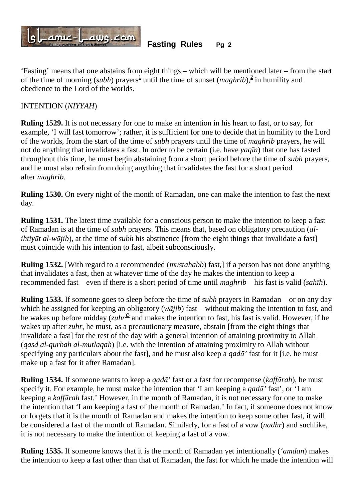

'Fasting' means that one abstains from eight things – which will be mentioned later – from the start of the time of morning (*subh*) prayers<sup>1</sup> until the time of sunset (*maghrib*),<sup>2</sup> in humility and obedience to the Lord of the worlds.

INTENTION (*NIYYAH*)

**Ruling 1529.** It is not necessary for one to make an intention in his heart to fast, or to say, for example, 'I will fast tomorrow'; rather, it is sufficient for one to decide that in humility to the Lord of the worlds, from the start of the time of *subh* prayers until the time of *maghrib* prayers, he will not do anything that invalidates a fast. In order to be certain (i.e. have *yaqīn*) that one has fasted throughout this time, he must begin abstaining from a short period before the time of *subh* prayers, and he must also refrain from doing anything that invalidates the fast for a short period after *maghrib*.

**Ruling 1530.** On every night of the month of Ramadan, one can make the intention to fast the next day.

**Ruling 1531.** The latest time available for a conscious person to make the intention to keep a fast of Ramadan is at the time of *subh* prayers. This means that, based on obligatory precaution (*alihtiyāt al-wājib*), at the time of *subh* his abstinence [from the eight things that invalidate a fast] must coincide with his intention to fast, albeit subconsciously.

**Ruling 1532.** [With regard to a recommended (*mustahabb*) fast,] if a person has not done anything that invalidates a fast, then at whatever time of the day he makes the intention to keep a recommended fast – even if there is a short period of time until *maghrib* – his fast is valid (*sahīh*).

**Ruling 1533.** If someone goes to sleep before the time of *subh* prayers in Ramadan – or on any day which he assigned for keeping an obligatory (*wājib*) fast – without making the intention to fast, and he wakes up before midday (*zuhr*<sup>)3</sup> and makes the intention to fast, his fast is valid. However, if he wakes up after *zuhr*, he must, as a precautionary measure, abstain [from the eight things that invalidate a fast] for the rest of the day with a general intention of attaining proximity to Allah (*qasd al-qurbah al-mutlaqah*) [i.e. with the intention of attaining proximity to Allah without specifying any particulars about the fast], and he must also keep a *qadā'* fast for it [i.e. he must make up a fast for it after Ramadan].

**Ruling 1534.** If someone wants to keep a *qadā'* fast or a fast for recompense (*kaffārah*), he must specify it. For example, he must make the intention that 'I am keeping a *qadā'* fast', or 'I am keeping a *kaffārah* fast.' However, in the month of Ramadan, it is not necessary for one to make the intention that 'I am keeping a fast of the month of Ramadan.' In fact, if someone does not know or forgets that it is the month of Ramadan and makes the intention to keep some other fast, it will be considered a fast of the month of Ramadan. Similarly, for a fast of a vow (*nadhr*) and suchlike, it is not necessary to make the intention of keeping a fast of a vow.

**Ruling 1535.** If someone knows that it is the month of Ramadan yet intentionally (*'amdan*) makes the intention to keep a fast other than that of Ramadan, the fast for which he made the intention will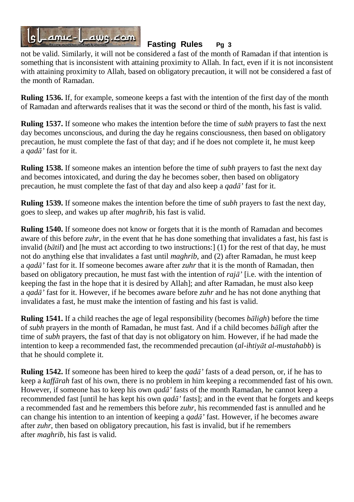

not be valid. Similarly, it will not be considered a fast of the month of Ramadan if that intention is something that is inconsistent with attaining proximity to Allah. In fact, even if it is not inconsistent with attaining proximity to Allah, based on obligatory precaution, it will not be considered a fast of the month of Ramadan.

**Ruling 1536.** If, for example, someone keeps a fast with the intention of the first day of the month of Ramadan and afterwards realises that it was the second or third of the month, his fast is valid.

**Ruling 1537.** If someone who makes the intention before the time of *subh* prayers to fast the next day becomes unconscious, and during the day he regains consciousness, then based on obligatory precaution, he must complete the fast of that day; and if he does not complete it, he must keep a *qadā'* fast for it.

**Ruling 1538.** If someone makes an intention before the time of *subh* prayers to fast the next day and becomes intoxicated, and during the day he becomes sober, then based on obligatory precaution, he must complete the fast of that day and also keep a *qadā'* fast for it.

**Ruling 1539.** If someone makes the intention before the time of *subh* prayers to fast the next day, goes to sleep, and wakes up after *maghrib*, his fast is valid.

**Ruling 1540.** If someone does not know or forgets that it is the month of Ramadan and becomes aware of this before *zuhr*, in the event that he has done something that invalidates a fast, his fast is invalid (*bātil*) and [he must act according to two instructions:] (1) for the rest of that day, he must not do anything else that invalidates a fast until *maghrib*, and (2) after Ramadan, he must keep a *qadā'* fast for it. If someone becomes aware after *zuhr* that it is the month of Ramadan, then based on obligatory precaution, he must fast with the intention of *rajā'* [i.e. with the intention of keeping the fast in the hope that it is desired by Allah]; and after Ramadan, he must also keep a *qadā'* fast for it. However, if he becomes aware before *zuhr* and he has not done anything that invalidates a fast, he must make the intention of fasting and his fast is valid.

**Ruling 1541.** If a child reaches the age of legal responsibility (becomes *bāligh*) before the time of *subh* prayers in the month of Ramadan, he must fast. And if a child becomes *bāligh* after the time of *subh* prayers, the fast of that day is not obligatory on him. However, if he had made the intention to keep a recommended fast, the recommended precaution (*al-ihtiyāt al-mustahabb*) is that he should complete it.

**Ruling 1542.** If someone has been hired to keep the *qadā'* fasts of a dead person, or, if he has to keep a *kaffārah* fast of his own, there is no problem in him keeping a recommended fast of his own. However, if someone has to keep his own *qadā'* fasts of the month Ramadan, he cannot keep a recommended fast [until he has kept his own *qadā'* fasts]; and in the event that he forgets and keeps a recommended fast and he remembers this before *zuhr*, his recommended fast is annulled and he can change his intention to an intention of keeping a *qadā'* fast. However, if he becomes aware after *zuhr*, then based on obligatory precaution, his fast is invalid, but if he remembers after *maghrib*, his fast is valid.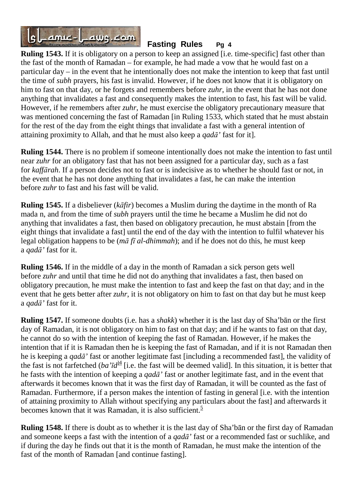

**Ruling 1543.** If it is obligatory on a person to keep an assigned [i.e. time-specific] fast other than the fast of the month of Ramadan – for example, he had made a vow that he would fast on a particular day – in the event that he intentionally does not make the intention to keep that fast until the time of *subh* prayers, his fast is invalid. However, if he does not know that it is obligatory on him to fast on that day, or he forgets and remembers before *zuhr*, in the event that he has not done anything that invalidates a fast and consequently makes the intention to fast, his fast will be valid. However, if he remembers after *zuhr*, he must exercise the obligatory precautionary measure that was mentioned concerning the fast of Ramadan [in Ruling 1533, which stated that he must abstain for the rest of the day from the eight things that invalidate a fast with a general intention of attaining proximity to Allah, and that he must also keep a *qadā'* fast for it].

**Ruling 1544.** There is no problem if someone intentionally does not make the intention to fast until near *zuhr* for an obligatory fast that has not been assigned for a particular day, such as a fast for *kaffārah*. If a person decides not to fast or is indecisive as to whether he should fast or not, in the event that he has not done anything that invalidates a fast, he can make the intention before *zuhr* to fast and his fast will be valid.

**Ruling 1545.** If a disbeliever (*kāfir*) becomes a Muslim during the daytime in the month of Ra mada n, and from the time of *subh* prayers until the time he became a Muslim he did not do anything that invalidates a fast, then based on obligatory precaution, he must abstain [from the eight things that invalidate a fast] until the end of the day with the intention to fulfil whatever his legal obligation happens to be (*mā fī al-dhimmah*); and if he does not do this, he must keep a *qadā'* fast for it.

**Ruling 1546.** If in the middle of a day in the month of Ramadan a sick person gets well before *zuhr* and until that time he did not do anything that invalidates a fast, then based on obligatory precaution, he must make the intention to fast and keep the fast on that day; and in the event that he gets better after *zuhr*, it is not obligatory on him to fast on that day but he must keep a *qadā'* fast for it.

**Ruling 1547.** If someone doubts (i.e. has a *shakk*) whether it is the last day of Sha'bān or the first day of Ramadan, it is not obligatory on him to fast on that day; and if he wants to fast on that day, he cannot do so with the intention of keeping the fast of Ramadan. However, if he makes the intention that if it is Ramadan then he is keeping the fast of Ramadan, and if it is not Ramadan then he is keeping a *qadā'* fast or another legitimate fast [including a recommended fast], the validity of the fast is not farfetched (*ba'* $\bar{d}^{\frac{14}{2}}$  [i.e. the fast will be deemed valid]. In this situation, it is better that he fasts with the intention of keeping a *qadā'* fast or another legitimate fast, and in the event that afterwards it becomes known that it was the first day of Ramadan, it will be counted as the fast of Ramadan. Furthermore, if a person makes the intention of fasting in general [i.e. with the intention of attaining proximity to Allah without specifying any particulars about the fast] and afterwards it becomes known that it was Ramadan, it is also sufficient. $\frac{5}{5}$ 

**Ruling 1548.** If there is doubt as to whether it is the last day of Sha'bān or the first day of Ramadan and someone keeps a fast with the intention of a *qadā'* fast or a recommended fast or suchlike, and if during the day he finds out that it is the month of Ramadan, he must make the intention of the fast of the month of Ramadan [and continue fasting].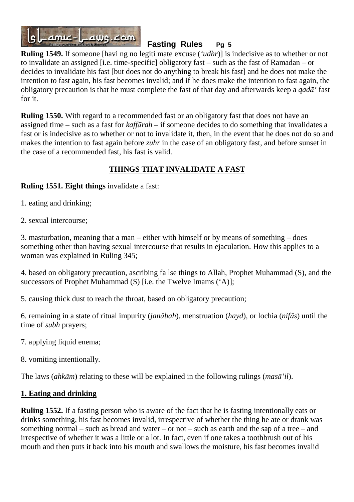

**Ruling 1549.** If someone [havi ng no legiti mate excuse (*'udhr*)] is indecisive as to whether or not to invalidate an assigned [i.e. time-specific] obligatory fast – such as the fast of Ramadan – or decides to invalidate his fast [but does not do anything to break his fast] and he does not make the intention to fast again, his fast becomes invalid; and if he does make the intention to fast again, the obligatory precaution is that he must complete the fast of that day and afterwards keep a *qadā'* fast for it.

**Ruling 1550.** With regard to a recommended fast or an obligatory fast that does not have an assigned time – such as a fast for *kaffārah* – if someone decides to do something that invalidates a fast or is indecisive as to whether or not to invalidate it, then, in the event that he does not do so and makes the intention to fast again before *zuhr* in the case of an obligatory fast, and before sunset in the case of a recommended fast, his fast is valid.

# **THINGS THAT INVALIDATE A FAST**

### **Ruling 1551. Eight things** invalidate a fast:

- 1. eating and drinking;
- 2. sexual intercourse;

3. masturbation, meaning that a man – either with himself or by means of something – does something other than having sexual intercourse that results in ejaculation. How this applies to a woman was explained in Ruling 345;

4. based on obligatory precaution, ascribing fa lse things to Allah, Prophet Muhammad (S), and the successors of Prophet Muhammad (S) [i.e. the Twelve Imams ('A)];

5. causing thick dust to reach the throat, based on obligatory precaution;

6. remaining in a state of ritual impurity (*janābah*), menstruation (*hayd*), or lochia (*nifās*) until the time of *subh* prayers;

- 7. applying liquid enema;
- 8. vomiting intentionally.

The laws (*ahkām*) relating to these will be explained in the following rulings (*masā'il*).

## **1. Eating and drinking**

**Ruling 1552.** If a fasting person who is aware of the fact that he is fasting intentionally eats or drinks something, his fast becomes invalid, irrespective of whether the thing he ate or drank was something normal – such as bread and water – or not – such as earth and the sap of a tree – and irrespective of whether it was a little or a lot. In fact, even if one takes a toothbrush out of his mouth and then puts it back into his mouth and swallows the moisture, his fast becomes invalid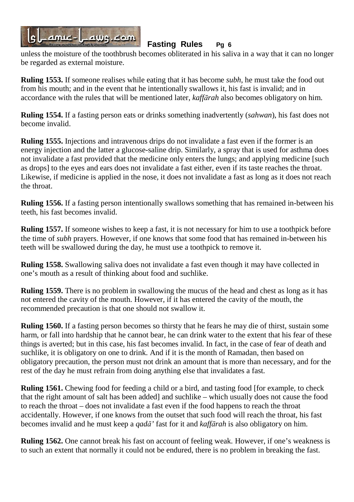

unless the moisture of the toothbrush becomes obliterated in his saliva in a way that it can no longer be regarded as external moisture.

**Ruling 1553.** If someone realises while eating that it has become *subh*, he must take the food out from his mouth; and in the event that he intentionally swallows it, his fast is invalid; and in accordance with the rules that will be mentioned later, *kaffārah* also becomes obligatory on him.

**Ruling 1554.** If a fasting person eats or drinks something inadvertently (*sahwan*), his fast does not become invalid.

**Ruling 1555.** Injections and intravenous drips do not invalidate a fast even if the former is an energy injection and the latter a glucose-saline drip. Similarly, a spray that is used for asthma does not invalidate a fast provided that the medicine only enters the lungs; and applying medicine [such as drops] to the eyes and ears does not invalidate a fast either, even if its taste reaches the throat. Likewise, if medicine is applied in the nose, it does not invalidate a fast as long as it does not reach the throat.

**Ruling 1556.** If a fasting person intentionally swallows something that has remained in-between his teeth, his fast becomes invalid.

**Ruling 1557.** If someone wishes to keep a fast, it is not necessary for him to use a toothpick before the time of *subh* prayers. However, if one knows that some food that has remained in-between his teeth will be swallowed during the day, he must use a toothpick to remove it.

**Ruling 1558.** Swallowing saliva does not invalidate a fast even though it may have collected in one's mouth as a result of thinking about food and suchlike.

**Ruling 1559.** There is no problem in swallowing the mucus of the head and chest as long as it has not entered the cavity of the mouth. However, if it has entered the cavity of the mouth, the recommended precaution is that one should not swallow it.

**Ruling 1560.** If a fasting person becomes so thirsty that he fears he may die of thirst, sustain some harm, or fall into hardship that he cannot bear, he can drink water to the extent that his fear of these things is averted; but in this case, his fast becomes invalid. In fact, in the case of fear of death and suchlike, it is obligatory on one to drink. And if it is the month of Ramadan, then based on obligatory precaution, the person must not drink an amount that is more than necessary, and for the rest of the day he must refrain from doing anything else that invalidates a fast.

**Ruling 1561.** Chewing food for feeding a child or a bird, and tasting food [for example, to check that the right amount of salt has been added] and suchlike – which usually does not cause the food to reach the throat – does not invalidate a fast even if the food happens to reach the throat accidentally. However, if one knows from the outset that such food will reach the throat, his fast becomes invalid and he must keep a *qadā'* fast for it and *kaffārah* is also obligatory on him.

**Ruling 1562.** One cannot break his fast on account of feeling weak. However, if one's weakness is to such an extent that normally it could not be endured, there is no problem in breaking the fast.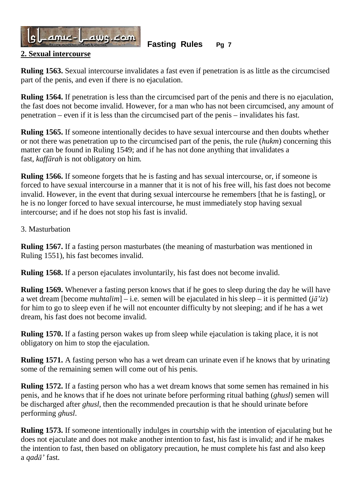

#### **2. Sexual intercourse**

**Ruling 1563.** Sexual intercourse invalidates a fast even if penetration is as little as the circumcised part of the penis, and even if there is no ejaculation.

**Ruling 1564.** If penetration is less than the circumcised part of the penis and there is no ejaculation, the fast does not become invalid. However, for a man who has not been circumcised, any amount of penetration – even if it is less than the circumcised part of the penis – invalidates his fast.

**Ruling 1565.** If someone intentionally decides to have sexual intercourse and then doubts whether or not there was penetration up to the circumcised part of the penis, the rule (*hukm*) concerning this matter can be found in Ruling 1549; and if he has not done anything that invalidates a fast, *kaffārah* is not obligatory on him.

**Ruling 1566.** If someone forgets that he is fasting and has sexual intercourse, or, if someone is forced to have sexual intercourse in a manner that it is not of his free will, his fast does not become invalid. However, in the event that during sexual intercourse he remembers [that he is fasting], or he is no longer forced to have sexual intercourse, he must immediately stop having sexual intercourse; and if he does not stop his fast is invalid.

#### 3. Masturbation

**Ruling 1567.** If a fasting person masturbates (the meaning of masturbation was mentioned in Ruling 1551), his fast becomes invalid.

**Ruling 1568.** If a person ejaculates involuntarily, his fast does not become invalid.

**Ruling 1569.** Whenever a fasting person knows that if he goes to sleep during the day he will have a wet dream [become *muhtalim*] – i.e. semen will be ejaculated in his sleep – it is permitted (*jā'iz*) for him to go to sleep even if he will not encounter difficulty by not sleeping; and if he has a wet dream, his fast does not become invalid.

**Ruling 1570.** If a fasting person wakes up from sleep while ejaculation is taking place, it is not obligatory on him to stop the ejaculation.

**Ruling 1571.** A fasting person who has a wet dream can urinate even if he knows that by urinating some of the remaining semen will come out of his penis.

**Ruling 1572.** If a fasting person who has a wet dream knows that some semen has remained in his penis, and he knows that if he does not urinate before performing ritual bathing (*ghusl*) semen will be discharged after *ghusl*, then the recommended precaution is that he should urinate before performing *ghusl*.

**Ruling 1573.** If someone intentionally indulges in courtship with the intention of ejaculating but he does not ejaculate and does not make another intention to fast, his fast is invalid; and if he makes the intention to fast, then based on obligatory precaution, he must complete his fast and also keep a *qadā'* fast.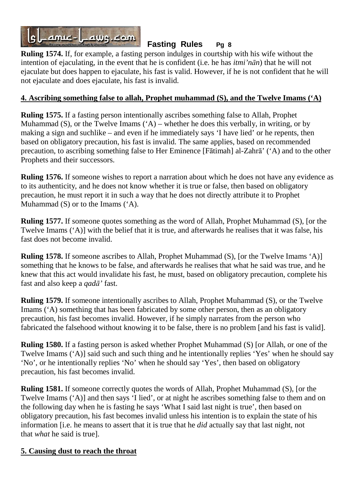

**Ruling 1574.** If, for example, a fasting person indulges in courtship with his wife without the intention of ejaculating, in the event that he is confident (i.e. he has *itmi'nān*) that he will not ejaculate but does happen to ejaculate, his fast is valid. However, if he is not confident that he will not ejaculate and does ejaculate, his fast is invalid.

### **4. Ascribing something false to allah, Prophet muhammad (S), and the Twelve Imams ('A)**

**Ruling 1575.** If a fasting person intentionally ascribes something false to Allah, Prophet Muhammad (S), or the Twelve Imams  $(A)$  – whether he does this verbally, in writing, or by making a sign and suchlike – and even if he immediately says 'I have lied' or he repents, then based on obligatory precaution, his fast is invalid. The same applies, based on recommended precaution, to ascribing something false to Her Eminence [Fātimah] al-Zahrā' ('A) and to the other Prophets and their successors.

**Ruling 1576.** If someone wishes to report a narration about which he does not have any evidence as to its authenticity, and he does not know whether it is true or false, then based on obligatory precaution, he must report it in such a way that he does not directly attribute it to Prophet Muhammad (S) or to the Imams ('A).

**Ruling 1577.** If someone quotes something as the word of Allah, Prophet Muhammad (S), [or the Twelve Imams ('A)] with the belief that it is true, and afterwards he realises that it was false, his fast does not become invalid.

**Ruling 1578.** If someone ascribes to Allah, Prophet Muhammad (S), [or the Twelve Imams 'A)] something that he knows to be false, and afterwards he realises that what he said was true, and he knew that this act would invalidate his fast, he must, based on obligatory precaution, complete his fast and also keep a *qadā'* fast.

**Ruling 1579.** If someone intentionally ascribes to Allah, Prophet Muhammad (S), or the Twelve Imams ('A) something that has been fabricated by some other person, then as an obligatory precaution, his fast becomes invalid. However, if he simply narrates from the person who fabricated the falsehood without knowing it to be false, there is no problem [and his fast is valid].

**Ruling 1580.** If a fasting person is asked whether Prophet Muhammad (S) [or Allah, or one of the Twelve Imams ('A)] said such and such thing and he intentionally replies 'Yes' when he should say 'No', or he intentionally replies 'No' when he should say 'Yes', then based on obligatory precaution, his fast becomes invalid.

**Ruling 1581.** If someone correctly quotes the words of Allah, Prophet Muhammad (S), [or the Twelve Imams ('A)] and then says 'I lied', or at night he ascribes something false to them and on the following day when he is fasting he says 'What I said last night is true', then based on obligatory precaution, his fast becomes invalid unless his intention is to explain the state of his information [i.e. he means to assert that it is true that he *did* actually say that last night, not that *what* he said is true].

### **5. Causing dust to reach the throat**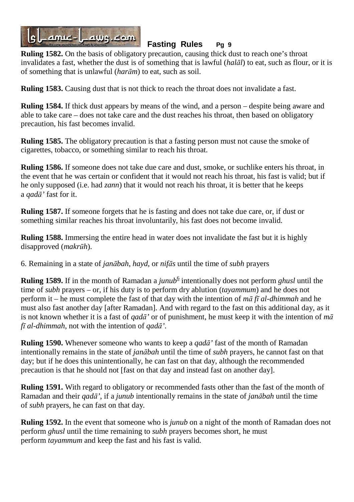

**Ruling 1582.** On the basis of obligatory precaution, causing thick dust to reach one's throat invalidates a fast, whether the dust is of something that is lawful (*halāl*) to eat, such as flour, or it is of something that is unlawful (*harām*) to eat, such as soil.

**Ruling 1583.** Causing dust that is not thick to reach the throat does not invalidate a fast.

**Ruling 1584.** If thick dust appears by means of the wind, and a person – despite being aware and able to take care – does not take care and the dust reaches his throat, then based on obligatory precaution, his fast becomes invalid.

**Ruling 1585.** The obligatory precaution is that a fasting person must not cause the smoke of cigarettes, tobacco, or something similar to reach his throat.

**Ruling 1586.** If someone does not take due care and dust, smoke, or suchlike enters his throat, in the event that he was certain or confident that it would not reach his throat, his fast is valid; but if he only supposed (i.e. had *zann*) that it would not reach his throat, it is better that he keeps a *qadā'* fast for it.

**Ruling 1587.** If someone forgets that he is fasting and does not take due care, or, if dust or something similar reaches his throat involuntarily, his fast does not become invalid.

**Ruling 1588.** Immersing the entire head in water does not invalidate the fast but it is highly disapproved (*makrūh*).

6. Remaining in a state of *janābah*, *hayd*, or *nifās* until the time of *subh* prayers

**Ruling 1589.** If in the month of Ramadan a *junub*<sup>6</sup> intentionally does not perform *ghusl* until the time of *subh* prayers – or, if his duty is to perform dry ablution (*tayammum*) and he does not perform it – he must complete the fast of that day with the intention of *mā fī al-dhimmah* and he must also fast another day [after Ramadan]. And with regard to the fast on this additional day, as it is not known whether it is a fast of *qadā'* or of punishment, he must keep it with the intention of *mā fī al-dhimmah*, not with the intention of *qadā'*.

**Ruling 1590.** Whenever someone who wants to keep a *qadā'* fast of the month of Ramadan intentionally remains in the state of *janābah* until the time of *subh* prayers, he cannot fast on that day; but if he does this unintentionally, he can fast on that day, although the recommended precaution is that he should not [fast on that day and instead fast on another day].

**Ruling 1591.** With regard to obligatory or recommended fasts other than the fast of the month of Ramadan and their *qadā'*, if a *junub* intentionally remains in the state of *janābah* until the time of *subh* prayers, he can fast on that day.

**Ruling 1592.** In the event that someone who is *junub* on a night of the month of Ramadan does not perform *ghusl* until the time remaining to *subh* prayers becomes short, he must perform *tayammum* and keep the fast and his fast is valid.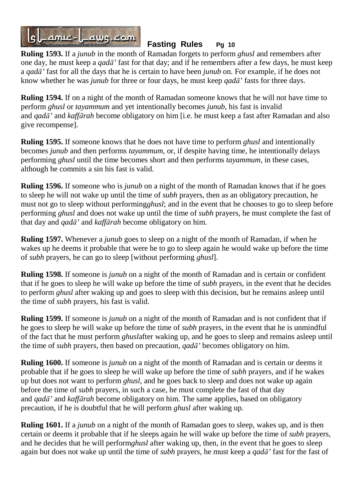

**Ruling 1593.** If a *junub* in the month of Ramadan forgets to perform *ghusl* and remembers after one day, he must keep a *qadā'* fast for that day; and if he remembers after a few days, he must keep a *qadā'* fast for all the days that he is certain to have been *junub* on. For example, if he does not know whether he was *junub* for three or four days, he must keep *qadā'* fasts for three days.

**Ruling 1594.** If on a night of the month of Ramadan someone knows that he will not have time to perform *ghusl* or *tayammum* and yet intentionally becomes *junub*, his fast is invalid and *qadā'* and *kaffārah* become obligatory on him [i.e. he must keep a fast after Ramadan and also give recompense].

**Ruling 1595.** If someone knows that he does not have time to perform *ghusl* and intentionally becomes *junub* and then performs *tayammum*, or, if despite having time, he intentionally delays performing *ghusl* until the time becomes short and then performs *tayammum*, in these cases, although he commits a sin his fast is valid.

**Ruling 1596.** If someone who is *junub* on a night of the month of Ramadan knows that if he goes to sleep he will not wake up until the time of *subh* prayers, then as an obligatory precaution, he must not go to sleep without performing*ghusl*; and in the event that he chooses to go to sleep before performing *ghusl* and does not wake up until the time of *subh* prayers, he must complete the fast of that day and *qadā'* and *kaffārah* become obligatory on him.

**Ruling 1597.** Whenever a *junub* goes to sleep on a night of the month of Ramadan, if when he wakes up he deems it probable that were he to go to sleep again he would wake up before the time of *subh* prayers, he can go to sleep [without performing *ghusl*].

**Ruling 1598.** If someone is *junub* on a night of the month of Ramadan and is certain or confident that if he goes to sleep he will wake up before the time of *subh* prayers, in the event that he decides to perform *ghusl* after waking up and goes to sleep with this decision, but he remains asleep until the time of *subh* prayers, his fast is valid.

**Ruling 1599.** If someone is *junub* on a night of the month of Ramadan and is not confident that if he goes to sleep he will wake up before the time of *subh* prayers, in the event that he is unmindful of the fact that he must perform *ghusl*after waking up, and he goes to sleep and remains asleep until the time of *subh* prayers, then based on precaution, *qadā'* becomes obligatory on him.

**Ruling 1600.** If someone is *junub* on a night of the month of Ramadan and is certain or deems it probable that if he goes to sleep he will wake up before the time of *subh* prayers, and if he wakes up but does not want to perform *ghusl*, and he goes back to sleep and does not wake up again before the time of *subh* prayers, in such a case, he must complete the fast of that day and *qadā'* and *kaffārah* become obligatory on him. The same applies, based on obligatory precaution, if he is doubtful that he will perform *ghusl* after waking up.

**Ruling 1601.** If a *junub* on a night of the month of Ramadan goes to sleep, wakes up, and is then certain or deems it probable that if he sleeps again he will wake up before the time of *subh* prayers, and he decides that he will perform*ghusl* after waking up, then, in the event that he goes to sleep again but does not wake up until the time of *subh* prayers, he must keep a *qadā'* fast for the fast of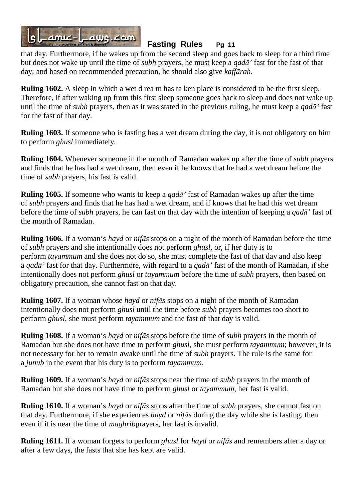

that day. Furthermore, if he wakes up from the second sleep and goes back to sleep for a third time but does not wake up until the time of *subh* prayers, he must keep a *qadā'* fast for the fast of that day; and based on recommended precaution, he should also give *kaffārah*.

**Ruling 1602.** A sleep in which a wet d rea m has ta ken place is considered to be the first sleep. Therefore, if after waking up from this first sleep someone goes back to sleep and does not wake up until the time of *subh* prayers, then as it was stated in the previous ruling, he must keep a *qadā'* fast for the fast of that day.

**Ruling 1603.** If someone who is fasting has a wet dream during the day, it is not obligatory on him to perform *ghusl* immediately.

**Ruling 1604.** Whenever someone in the month of Ramadan wakes up after the time of *subh* prayers and finds that he has had a wet dream, then even if he knows that he had a wet dream before the time of *subh* prayers, his fast is valid.

**Ruling 1605.** If someone who wants to keep a *qadā'* fast of Ramadan wakes up after the time of *subh* prayers and finds that he has had a wet dream, and if knows that he had this wet dream before the time of *subh* prayers, he can fast on that day with the intention of keeping a *qadā'* fast of the month of Ramadan.

**Ruling 1606.** If a woman's *hayd* or *nifās* stops on a night of the month of Ramadan before the time of *subh* prayers and she intentionally does not perform *ghusl*, or, if her duty is to perform *tayammum* and she does not do so, she must complete the fast of that day and also keep a *qadā'* fast for that day. Furthermore, with regard to a *qadā'* fast of the month of Ramadan, if she intentionally does not perform *ghusl* or *tayammum* before the time of *subh* prayers, then based on obligatory precaution, she cannot fast on that day.

**Ruling 1607.** If a woman whose *hayd* or *nifās* stops on a night of the month of Ramadan intentionally does not perform *ghusl* until the time before *subh* prayers becomes too short to perform *ghusl*, she must perform *tayammum* and the fast of that day is valid.

**Ruling 1608.** If a woman's *hayd* or *nifās* stops before the time of *subh* prayers in the month of Ramadan but she does not have time to perform *ghusl*, she must perform *tayammum*; however, it is not necessary for her to remain awake until the time of *subh* prayers. The rule is the same for a *junub* in the event that his duty is to perform *tayammum*.

**Ruling 1609.** If a woman's *hayd* or *nifās* stops near the time of *subh* prayers in the month of Ramadan but she does not have time to perform *ghusl* or *tayammum*, her fast is valid.

**Ruling 1610.** If a woman's *hayd* or *nifās* stops after the time of *subh* prayers, she cannot fast on that day. Furthermore, if she experiences *hayd* or *nifās* during the day while she is fasting, then even if it is near the time of *maghrib*prayers, her fast is invalid.

**Ruling 1611.** If a woman forgets to perform *ghusl* for *hayd* or *nifās* and remembers after a day or after a few days, the fasts that she has kept are valid.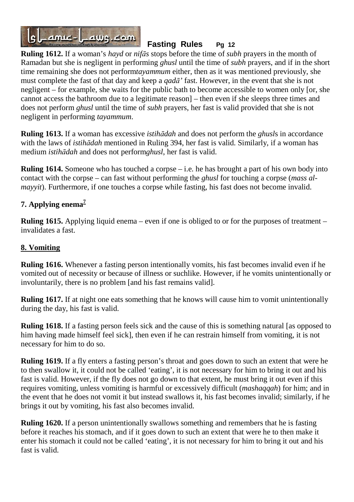

**Ruling 1612.** If a woman's *hayd* or *nifās* stops before the time of *subh* prayers in the month of Ramadan but she is negligent in performing *ghusl* until the time of *subh* prayers, and if in the short time remaining she does not perform*tayammum* either, then as it was mentioned previously, she must complete the fast of that day and keep a *qadā'* fast. However, in the event that she is not negligent – for example, she waits for the public bath to become accessible to women only [or, she cannot access the bathroom due to a legitimate reason] – then even if she sleeps three times and does not perform *ghusl* until the time of *subh* prayers, her fast is valid provided that she is not negligent in performing *tayammum*.

**Ruling 1613.** If a woman has excessive *istihādah* and does not perform the *ghusl*s in accordance with the laws of *istihādah* mentioned in Ruling 394, her fast is valid. Similarly, if a woman has medium *istihādah* and does not perform*ghusl*, her fast is valid.

**Ruling 1614.** Someone who has touched a corpse – i.e. he has brought a part of his own body into contact with the corpse – can fast without performing the *ghusl* for touching a corpse (*mass almayyit*). Furthermore, if one touches a corpse while fasting, his fast does not become invalid.

## **7. Applying enema<sup>7</sup>**

**Ruling 1615.** Applying liquid enema – even if one is obliged to or for the purposes of treatment – invalidates a fast.

### **8. Vomiting**

**Ruling 1616.** Whenever a fasting person intentionally vomits, his fast becomes invalid even if he vomited out of necessity or because of illness or suchlike. However, if he vomits unintentionally or involuntarily, there is no problem [and his fast remains valid].

**Ruling 1617.** If at night one eats something that he knows will cause him to vomit unintentionally during the day, his fast is valid.

**Ruling 1618.** If a fasting person feels sick and the cause of this is something natural [as opposed to him having made himself feel sick], then even if he can restrain himself from vomiting, it is not necessary for him to do so.

**Ruling 1619.** If a fly enters a fasting person's throat and goes down to such an extent that were he to then swallow it, it could not be called 'eating', it is not necessary for him to bring it out and his fast is valid. However, if the fly does not go down to that extent, he must bring it out even if this requires vomiting, unless vomiting is harmful or excessively difficult (*mashaqqah*) for him; and in the event that he does not vomit it but instead swallows it, his fast becomes invalid; similarly, if he brings it out by vomiting, his fast also becomes invalid.

**Ruling 1620.** If a person unintentionally swallows something and remembers that he is fasting before it reaches his stomach, and if it goes down to such an extent that were he to then make it enter his stomach it could not be called 'eating', it is not necessary for him to bring it out and his fast is valid.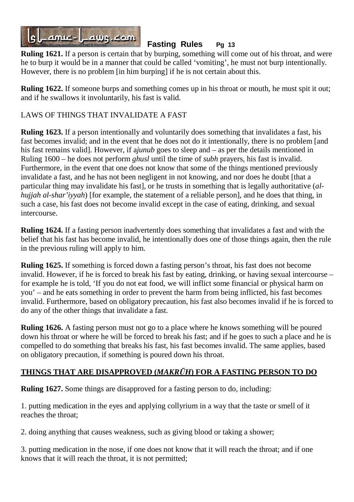

**Ruling 1621.** If a person is certain that by burping, something will come out of his throat, and were he to burp it would be in a manner that could be called 'vomiting', he must not burp intentionally. However, there is no problem [in him burping] if he is not certain about this.

**Ruling 1622.** If someone burps and something comes up in his throat or mouth, he must spit it out; and if he swallows it involuntarily, his fast is valid.

## LAWS OF THINGS THAT INVALIDATE A FAST

**Ruling 1623.** If a person intentionally and voluntarily does something that invalidates a fast, his fast becomes invalid; and in the event that he does not do it intentionally, there is no problem [and his fast remains valid]. However, if a*junub* goes to sleep and – as per the details mentioned in Ruling 1600 – he does not perform *ghusl* until the time of *subh* prayers, his fast is invalid. Furthermore, in the event that one does not know that some of the things mentioned previously invalidate a fast, and he has not been negligent in not knowing, and nor does he doubt [that a particular thing may invalidate his fast], or he trusts in something that is legally authoritative (*alhujjah al-shar'iyyah*) [for example, the statement of a reliable person], and he does that thing, in such a case, his fast does not become invalid except in the case of eating, drinking, and sexual intercourse.

**Ruling 1624.** If a fasting person inadvertently does something that invalidates a fast and with the belief that his fast has become invalid, he intentionally does one of those things again, then the rule in the previous ruling will apply to him.

**Ruling 1625.** If something is forced down a fasting person's throat, his fast does not become invalid. However, if he is forced to break his fast by eating, drinking, or having sexual intercourse – for example he is told, 'If you do not eat food, we will inflict some financial or physical harm on you' – and he eats something in order to prevent the harm from being inflicted, his fast becomes invalid. Furthermore, based on obligatory precaution, his fast also becomes invalid if he is forced to do any of the other things that invalidate a fast.

**Ruling 1626.** A fasting person must not go to a place where he knows something will be poured down his throat or where he will be forced to break his fast; and if he goes to such a place and he is compelled to do something that breaks his fast, his fast becomes invalid. The same applies, based on obligatory precaution, if something is poured down his throat.

## **THINGS THAT ARE DISAPPROVED (***MAKRŪH***) FOR A FASTING PERSON TO DO**

**Ruling 1627.** Some things are disapproved for a fasting person to do, including:

1. putting medication in the eyes and applying collyrium in a way that the taste or smell of it reaches the throat;

2. doing anything that causes weakness, such as giving blood or taking a shower;

3. putting medication in the nose, if one does not know that it will reach the throat; and if one knows that it will reach the throat, it is not permitted;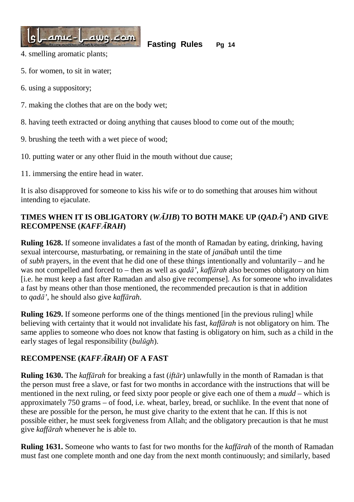

- 4. smelling aromatic plants;
- 5. for women, to sit in water;
- 6. using a suppository;
- 7. making the clothes that are on the body wet;
- 8. having teeth extracted or doing anything that causes blood to come out of the mouth;
- 9. brushing the teeth with a wet piece of wood;
- 10. putting water or any other fluid in the mouth without due cause;
- 11. immersing the entire head in water.

It is also disapproved for someone to kiss his wife or to do something that arouses him without intending to ejaculate.

## **TIMES WHEN IT IS OBLIGATORY (***WĀJIB***) TO BOTH MAKE UP (***QADĀ'***) AND GIVE RECOMPENSE (***KAFFĀRAH***)**

**Ruling 1628.** If someone invalidates a fast of the month of Ramadan by eating, drinking, having sexual intercourse, masturbating, or remaining in the state of *janābah* until the time of *subh* prayers, in the event that he did one of these things intentionally and voluntarily – and he was not compelled and forced to – then as well as *qadā'*, *kaffārah* also becomes obligatory on him [i.e. he must keep a fast after Ramadan and also give recompense]. As for someone who invalidates a fast by means other than those mentioned, the recommended precaution is that in addition to *qadā'*, he should also give *kaffārah*.

**Ruling 1629.** If someone performs one of the things mentioned [in the previous ruling] while believing with certainty that it would not invalidate his fast, *kaffārah* is not obligatory on him. The same applies to someone who does not know that fasting is obligatory on him, such as a child in the early stages of legal responsibility (*bulūgh*).

## **RECOMPENSE (***KAFFĀRAH***) OF A FAST**

**Ruling 1630.** The *kaffārah* for breaking a fast (*iftār*) unlawfully in the month of Ramadan is that the person must free a slave, or fast for two months in accordance with the instructions that will be mentioned in the next ruling, or feed sixty poor people or give each one of them a *mudd* – which is approximately 750 grams – of food, i.e. wheat, barley, bread, or suchlike. In the event that none of these are possible for the person, he must give charity to the extent that he can. If this is not possible either, he must seek forgiveness from Allah; and the obligatory precaution is that he must give *kaffārah* whenever he is able to.

**Ruling 1631.** Someone who wants to fast for two months for the *kaffārah* of the month of Ramadan must fast one complete month and one day from the next month continuously; and similarly, based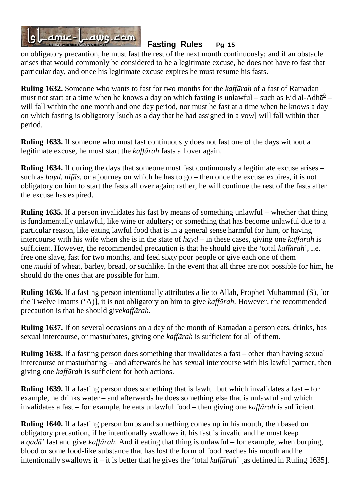

on obligatory precaution, he must fast the rest of the next month continuously; and if an obstacle arises that would commonly be considered to be a legitimate excuse, he does not have to fast that particular day, and once his legitimate excuse expires he must resume his fasts.

**Ruling 1632.** Someone who wants to fast for two months for the *kaffārah* of a fast of Ramadan must not start at a time when he knows a day on which fasting is unlawful – such as Eid al-Adh $\bar{a}^8$  – will fall within the one month and one day period, nor must he fast at a time when he knows a day on which fasting is obligatory [such as a day that he had assigned in a vow] will fall within that period.

**Ruling 1633.** If someone who must fast continuously does not fast one of the days without a legitimate excuse, he must start the *kaffārah* fasts all over again.

**Ruling 1634.** If during the days that someone must fast continuously a legitimate excuse arises – such as *hayd*, *nifās*, or a journey on which he has to go – then once the excuse expires, it is not obligatory on him to start the fasts all over again; rather, he will continue the rest of the fasts after the excuse has expired.

**Ruling 1635.** If a person invalidates his fast by means of something unlawful – whether that thing is fundamentally unlawful, like wine or adultery; or something that has become unlawful due to a particular reason, like eating lawful food that is in a general sense harmful for him, or having intercourse with his wife when she is in the state of *hayd* – in these cases, giving one *kaffārah* is sufficient. However, the recommended precaution is that he should give the 'total *kaffārah*', i.e. free one slave, fast for two months, and feed sixty poor people or give each one of them one *mudd* of wheat, barley, bread, or suchlike. In the event that all three are not possible for him, he should do the ones that are possible for him.

**Ruling 1636.** If a fasting person intentionally attributes a lie to Allah, Prophet Muhammad (S), [or the Twelve Imams ('A)], it is not obligatory on him to give *kaffārah*. However, the recommended precaution is that he should give*kaffārah*.

**Ruling 1637.** If on several occasions on a day of the month of Ramadan a person eats, drinks, has sexual intercourse, or masturbates, giving one *kaffārah* is sufficient for all of them.

**Ruling 1638.** If a fasting person does something that invalidates a fast – other than having sexual intercourse or masturbating – and afterwards he has sexual intercourse with his lawful partner, then giving one *kaffārah* is sufficient for both actions.

**Ruling 1639.** If a fasting person does something that is lawful but which invalidates a fast – for example, he drinks water – and afterwards he does something else that is unlawful and which invalidates a fast – for example, he eats unlawful food – then giving one *kaffārah* is sufficient.

**Ruling 1640.** If a fasting person burps and something comes up in his mouth, then based on obligatory precaution, if he intentionally swallows it, his fast is invalid and he must keep a *qadā'* fast and give *kaffārah*. And if eating that thing is unlawful – for example, when burping, blood or some food-like substance that has lost the form of food reaches his mouth and he intentionally swallows it – it is better that he gives the 'total *kaffārah*' [as defined in Ruling 1635].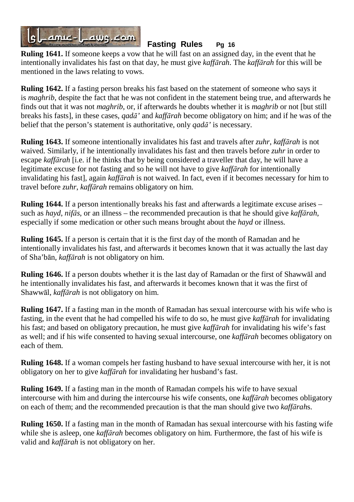

**Ruling 1641.** If someone keeps a vow that he will fast on an assigned day, in the event that he intentionally invalidates his fast on that day, he must give *kaffārah*. The *kaffārah* for this will be mentioned in the laws relating to vows.

**Ruling 1642.** If a fasting person breaks his fast based on the statement of someone who says it is *maghrib*, despite the fact that he was not confident in the statement being true, and afterwards he finds out that it was not *maghrib*, or, if afterwards he doubts whether it is *maghrib* or not [but still breaks his fasts], in these cases, *qadā'* and *kaffārah* become obligatory on him; and if he was of the belief that the person's statement is authoritative, only *qadā'* is necessary.

**Ruling 1643.** If someone intentionally invalidates his fast and travels after *zuhr*, *kaffārah* is not waived. Similarly, if he intentionally invalidates his fast and then travels before *zuhr* in order to escape *kaffārah* [i.e. if he thinks that by being considered a traveller that day, he will have a legitimate excuse for not fasting and so he will not have to give *kaffārah* for intentionally invalidating his fast], again *kaffārah* is not waived. In fact, even if it becomes necessary for him to travel before *zuhr*, *kaffārah* remains obligatory on him.

**Ruling 1644.** If a person intentionally breaks his fast and afterwards a legitimate excuse arises – such as *hayd*, *nifās*, or an illness – the recommended precaution is that he should give *kaffārah*, especially if some medication or other such means brought about the *hayd* or illness.

**Ruling 1645.** If a person is certain that it is the first day of the month of Ramadan and he intentionally invalidates his fast, and afterwards it becomes known that it was actually the last day of Sha'bān, *kaffārah* is not obligatory on him.

**Ruling 1646.** If a person doubts whether it is the last day of Ramadan or the first of Shawwāl and he intentionally invalidates his fast, and afterwards it becomes known that it was the first of Shawwāl, *kaffārah* is not obligatory on him.

**Ruling 1647.** If a fasting man in the month of Ramadan has sexual intercourse with his wife who is fasting, in the event that he had compelled his wife to do so, he must give *kaffārah* for invalidating his fast; and based on obligatory precaution, he must give *kaffārah* for invalidating his wife's fast as well; and if his wife consented to having sexual intercourse, one *kaffārah* becomes obligatory on each of them.

**Ruling 1648.** If a woman compels her fasting husband to have sexual intercourse with her, it is not obligatory on her to give *kaffārah* for invalidating her husband's fast.

**Ruling 1649.** If a fasting man in the month of Ramadan compels his wife to have sexual intercourse with him and during the intercourse his wife consents, one *kaffārah* becomes obligatory on each of them; and the recommended precaution is that the man should give two *kaffārah*s.

**Ruling 1650.** If a fasting man in the month of Ramadan has sexual intercourse with his fasting wife while she is asleep, one *kaffārah* becomes obligatory on him. Furthermore, the fast of his wife is valid and *kaffārah* is not obligatory on her.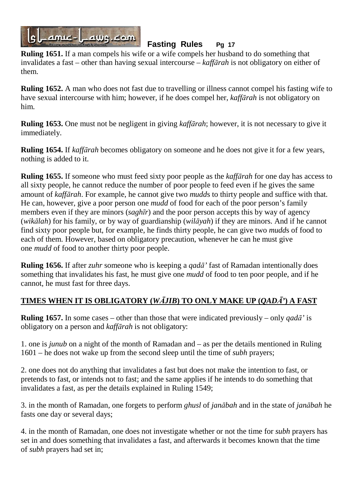

**Ruling 1651.** If a man compels his wife or a wife compels her husband to do something that invalidates a fast – other than having sexual intercourse – *kaffārah* is not obligatory on either of them.

**Ruling 1652.** A man who does not fast due to travelling or illness cannot compel his fasting wife to have sexual intercourse with him; however, if he does compel her, *kaffārah* is not obligatory on him.

**Ruling 1653.** One must not be negligent in giving *kaffārah*; however, it is not necessary to give it immediately.

**Ruling 1654.** If *kaffārah* becomes obligatory on someone and he does not give it for a few years, nothing is added to it.

**Ruling 1655.** If someone who must feed sixty poor people as the *kaffārah* for one day has access to all sixty people, he cannot reduce the number of poor people to feed even if he gives the same amount of *kaffārah*. For example, he cannot give two *mudd*s to thirty people and suffice with that. He can, however, give a poor person one *mudd* of food for each of the poor person's family members even if they are minors (*saghīr*) and the poor person accepts this by way of agency (*wikālah*) for his family, or by way of guardianship (*wilāyah*) if they are minors. And if he cannot find sixty poor people but, for example, he finds thirty people, he can give two *mudd*s of food to each of them. However, based on obligatory precaution, whenever he can he must give one *mudd* of food to another thirty poor people.

**Ruling 1656.** If after *zuhr* someone who is keeping a *qadā'* fast of Ramadan intentionally does something that invalidates his fast, he must give one *mudd* of food to ten poor people, and if he cannot, he must fast for three days.

# **TIMES WHEN IT IS OBLIGATORY (***WĀJIB***) TO ONLY MAKE UP (***QADĀ'***) A FAST**

**Ruling 1657.** In some cases – other than those that were indicated previously – only *qadā'* is obligatory on a person and *kaffārah* is not obligatory:

1. one is *junub* on a night of the month of Ramadan and – as per the details mentioned in Ruling 1601 – he does not wake up from the second sleep until the time of *subh* prayers;

2. one does not do anything that invalidates a fast but does not make the intention to fast, or pretends to fast, or intends not to fast; and the same applies if he intends to do something that invalidates a fast, as per the details explained in Ruling 1549;

3. in the month of Ramadan, one forgets to perform *ghusl* of *janābah* and in the state of *janābah* he fasts one day or several days;

4. in the month of Ramadan, one does not investigate whether or not the time for *subh* prayers has set in and does something that invalidates a fast, and afterwards it becomes known that the time of *subh* prayers had set in;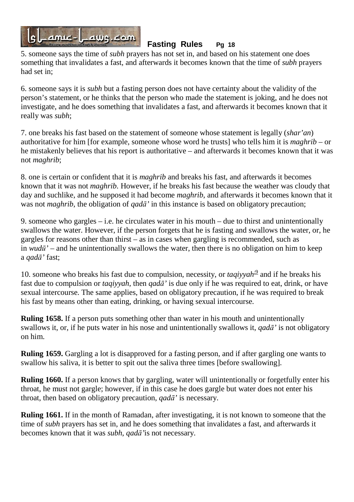

5. someone says the time of *subh* prayers has not set in, and based on his statement one does something that invalidates a fast, and afterwards it becomes known that the time of *subh* prayers had set in;

6. someone says it is *subh* but a fasting person does not have certainty about the validity of the person's statement, or he thinks that the person who made the statement is joking, and he does not investigate, and he does something that invalidates a fast, and afterwards it becomes known that it really was *subh*;

7. one breaks his fast based on the statement of someone whose statement is legally (*shar'an*) authoritative for him [for example, someone whose word he trusts] who tells him it is *maghrib* – or he mistakenly believes that his report is authoritative – and afterwards it becomes known that it was not *maghrib*;

8. one is certain or confident that it is *maghrib* and breaks his fast, and afterwards it becomes known that it was not *maghrib*. However, if he breaks his fast because the weather was cloudy that day and suchlike, and he supposed it had become *maghrib*, and afterwards it becomes known that it was not *maghrib*, the obligation of *qadā'* in this instance is based on obligatory precaution;

9. someone who gargles – i.e. he circulates water in his mouth – due to thirst and unintentionally swallows the water. However, if the person forgets that he is fasting and swallows the water, or, he gargles for reasons other than thirst – as in cases when gargling is recommended, such as in *wudū'* – and he unintentionally swallows the water, then there is no obligation on him to keep a *qadā'* fast;

10. someone who breaks his fast due to compulsion, necessity, or *taqiyyah*;9 and if he breaks his fast due to compulsion or *taqiyyah*, then *qadā'* is due only if he was required to eat, drink, or have sexual intercourse. The same applies, based on obligatory precaution, if he was required to break his fast by means other than eating, drinking, or having sexual intercourse.

**Ruling 1658.** If a person puts something other than water in his mouth and unintentionally swallows it, or, if he puts water in his nose and unintentionally swallows it, *qadā'* is not obligatory on him.

**Ruling 1659.** Gargling a lot is disapproved for a fasting person, and if after gargling one wants to swallow his saliva, it is better to spit out the saliva three times [before swallowing].

**Ruling 1660.** If a person knows that by gargling, water will unintentionally or forgetfully enter his throat, he must not gargle; however, if in this case he does gargle but water does not enter his throat, then based on obligatory precaution, *qadā'* is necessary.

**Ruling 1661.** If in the month of Ramadan, after investigating, it is not known to someone that the time of *subh* prayers has set in, and he does something that invalidates a fast, and afterwards it becomes known that it was *subh*, *qadā'*is not necessary.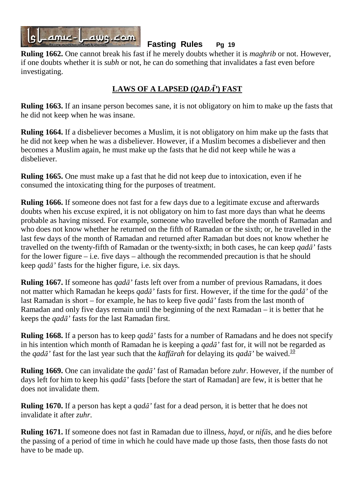

**Ruling 1662.** One cannot break his fast if he merely doubts whether it is *maghrib* or not. However, if one doubts whether it is *subh* or not, he can do something that invalidates a fast even before investigating.

# **LAWS OF A LAPSED (***QADĀ'***) FAST**

**Ruling 1663.** If an insane person becomes sane, it is not obligatory on him to make up the fasts that he did not keep when he was insane.

**Ruling 1664.** If a disbeliever becomes a Muslim, it is not obligatory on him make up the fasts that he did not keep when he was a disbeliever. However, if a Muslim becomes a disbeliever and then becomes a Muslim again, he must make up the fasts that he did not keep while he was a disbeliever.

**Ruling 1665.** One must make up a fast that he did not keep due to intoxication, even if he consumed the intoxicating thing for the purposes of treatment.

**Ruling 1666.** If someone does not fast for a few days due to a legitimate excuse and afterwards doubts when his excuse expired, it is not obligatory on him to fast more days than what he deems probable as having missed. For example, someone who travelled before the month of Ramadan and who does not know whether he returned on the fifth of Ramadan or the sixth; or, he travelled in the last few days of the month of Ramadan and returned after Ramadan but does not know whether he travelled on the twenty-fifth of Ramadan or the twenty-sixth; in both cases, he can keep *qadā'* fasts for the lower figure – i.e. five days – although the recommended precaution is that he should keep *qadā'* fasts for the higher figure, i.e. six days.

**Ruling 1667.** If someone has *qadā'* fasts left over from a number of previous Ramadans, it does not matter which Ramadan he keeps *qadā'* fasts for first. However, if the time for the *qadā'* of the last Ramadan is short – for example, he has to keep five *qadā'* fasts from the last month of Ramadan and only five days remain until the beginning of the next Ramadan – it is better that he keeps the *qadā'* fasts for the last Ramadan first.

**Ruling 1668.** If a person has to keep *qadā'* fasts for a number of Ramadans and he does not specify in his intention which month of Ramadan he is keeping a *qadā'* fast for, it will not be regarded as the *qad* $\bar{a}$ <sup>*'*</sup> fast for the last year such that the *kaff* $\bar{a}$ *rah* for delaying its *qad* $\bar{a}$ <sup>*'*</sup> be waived.<sup>10</sup>

**Ruling 1669.** One can invalidate the *qadā'* fast of Ramadan before *zuhr*. However, if the number of days left for him to keep his *qadā'* fasts [before the start of Ramadan] are few, it is better that he does not invalidate them.

**Ruling 1670.** If a person has kept a *qadā'* fast for a dead person, it is better that he does not invalidate it after *zuhr*.

**Ruling 1671.** If someone does not fast in Ramadan due to illness, *hayd*, or *nifās*, and he dies before the passing of a period of time in which he could have made up those fasts, then those fasts do not have to be made up.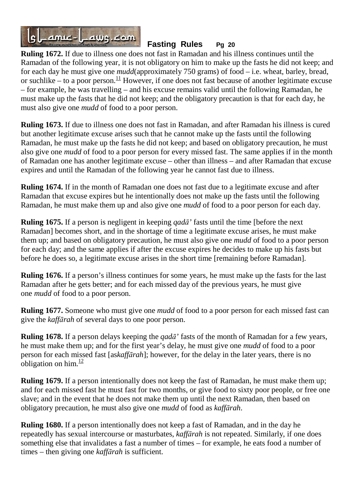

**Ruling 1672.** If due to illness one does not fast in Ramadan and his illness continues until the Ramadan of the following year, it is not obligatory on him to make up the fasts he did not keep; and for each day he must give one *mudd*(approximately 750 grams) of food – i.e. wheat, barley, bread, or suchlike – to a poor person.<sup>11</sup> However, if one does not fast because of another legitimate excuse – for example, he was travelling – and his excuse remains valid until the following Ramadan, he must make up the fasts that he did not keep; and the obligatory precaution is that for each day, he must also give one *mudd* of food to a poor person.

**Ruling 1673.** If due to illness one does not fast in Ramadan, and after Ramadan his illness is cured but another legitimate excuse arises such that he cannot make up the fasts until the following Ramadan, he must make up the fasts he did not keep; and based on obligatory precaution, he must also give one *mudd* of food to a poor person for every missed fast. The same applies if in the month of Ramadan one has another legitimate excuse – other than illness – and after Ramadan that excuse expires and until the Ramadan of the following year he cannot fast due to illness.

**Ruling 1674.** If in the month of Ramadan one does not fast due to a legitimate excuse and after Ramadan that excuse expires but he intentionally does not make up the fasts until the following Ramadan, he must make them up and also give one *mudd* of food to a poor person for each day.

**Ruling 1675.** If a person is negligent in keeping *qadā'* fasts until the time [before the next Ramadan] becomes short, and in the shortage of time a legitimate excuse arises, he must make them up; and based on obligatory precaution, he must also give one *mudd* of food to a poor person for each day; and the same applies if after the excuse expires he decides to make up his fasts but before he does so, a legitimate excuse arises in the short time [remaining before Ramadan].

**Ruling 1676.** If a person's illness continues for some years, he must make up the fasts for the last Ramadan after he gets better; and for each missed day of the previous years, he must give one *mudd* of food to a poor person.

**Ruling 1677.** Someone who must give one *mudd* of food to a poor person for each missed fast can give the *kaffārah* of several days to one poor person.

**Ruling 1678.** If a person delays keeping the *qadā'* fasts of the month of Ramadan for a few years, he must make them up; and for the first year's delay, he must give one *mudd* of food to a poor person for each missed fast [as*kaffārah*]; however, for the delay in the later years, there is no obligation on him. $\frac{12}{1}$ 

**Ruling 1679.** If a person intentionally does not keep the fast of Ramadan, he must make them up; and for each missed fast he must fast for two months, or give food to sixty poor people, or free one slave; and in the event that he does not make them up until the next Ramadan, then based on obligatory precaution, he must also give one *mudd* of food as *kaffārah*.

**Ruling 1680.** If a person intentionally does not keep a fast of Ramadan, and in the day he repeatedly has sexual intercourse or masturbates, *kaffārah* is not repeated. Similarly, if one does something else that invalidates a fast a number of times – for example, he eats food a number of times – then giving one *kaffārah* is sufficient.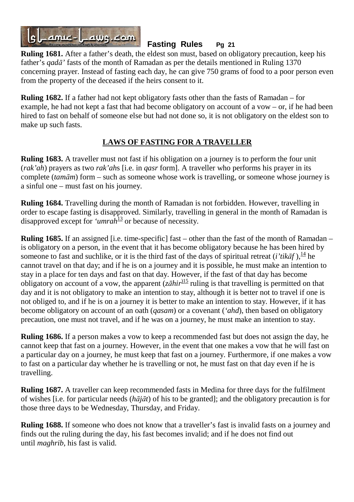

**Ruling 1681.** After a father's death, the eldest son must, based on obligatory precaution, keep his father's *qadā'* fasts of the month of Ramadan as per the details mentioned in Ruling 1370 concerning prayer. Instead of fasting each day, he can give 750 grams of food to a poor person even from the property of the deceased if the heirs consent to it.

**Ruling 1682.** If a father had not kept obligatory fasts other than the fasts of Ramadan – for example, he had not kept a fast that had become obligatory on account of a vow – or, if he had been hired to fast on behalf of someone else but had not done so, it is not obligatory on the eldest son to make up such fasts.

# **LAWS OF FASTING FOR A TRAVELLER**

**Ruling 1683.** A traveller must not fast if his obligation on a journey is to perform the four unit (*rak'ah*) prayers as two *rak'ah*s [i.e. in *qasr* form]. A traveller who performs his prayer in its complete (*tamām*) form – such as someone whose work is travelling, or someone whose journey is a sinful one – must fast on his journey.

**Ruling 1684.** Travelling during the month of Ramadan is not forbidden. However, travelling in order to escape fasting is disapproved. Similarly, travelling in general in the month of Ramadan is disapproved except for *'umrah*<sup>13</sup> or because of necessity.

**Ruling 1685.** If an assigned [i.e. time-specific] fast – other than the fast of the month of Ramadan – is obligatory on a person, in the event that it has become obligatory because he has been hired by someone to fast and suchlike, or it is the third fast of the days of spiritual retreat  $(i'tik\bar{a}f),\frac{14}{1}$  he cannot travel on that day; and if he is on a journey and it is possible, he must make an intention to stay in a place for ten days and fast on that day. However, if the fast of that day has become obligatory on account of a vow, the apparent  $(z\bar{a}hi r)^{15}$  ruling is that travelling is permitted on that day and it is not obligatory to make an intention to stay, although it is better not to travel if one is not obliged to, and if he is on a journey it is better to make an intention to stay. However, if it has become obligatory on account of an oath (*qasam*) or a covenant (*'ahd*), then based on obligatory precaution, one must not travel, and if he was on a journey, he must make an intention to stay.

**Ruling 1686.** If a person makes a vow to keep a recommended fast but does not assign the day, he cannot keep that fast on a journey. However, in the event that one makes a vow that he will fast on a particular day on a journey, he must keep that fast on a journey. Furthermore, if one makes a vow to fast on a particular day whether he is travelling or not, he must fast on that day even if he is travelling.

**Ruling 1687.** A traveller can keep recommended fasts in Medina for three days for the fulfilment of wishes [i.e. for particular needs (*hājāt*) of his to be granted]; and the obligatory precaution is for those three days to be Wednesday, Thursday, and Friday.

**Ruling 1688.** If someone who does not know that a traveller's fast is invalid fasts on a journey and finds out the ruling during the day, his fast becomes invalid; and if he does not find out until *maghrib*, his fast is valid.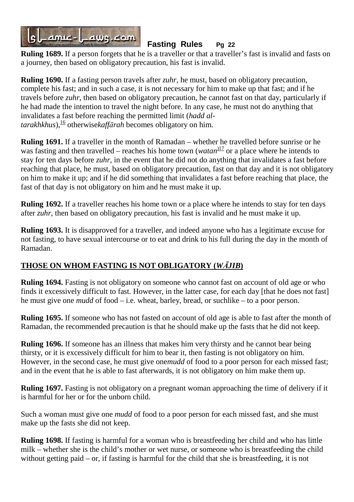

**Ruling 1689.** If a person forgets that he is a traveller or that a traveller's fast is invalid and fasts on a journey, then based on obligatory precaution, his fast is invalid.

**Ruling 1690.** If a fasting person travels after *zuhr*, he must, based on obligatory precaution, complete his fast; and in such a case, it is not necessary for him to make up that fast; and if he travels before *zuhr*, then based on obligatory precaution, he cannot fast on that day, particularly if he had made the intention to travel the night before. In any case, he must not do anything that invalidates a fast before reaching the permitted limit (*hadd altarakhkhus*),<sup>16</sup> otherwise*kaffārah* becomes obligatory on him.

**Ruling 1691.** If a traveller in the month of Ramadan – whether he travelled before sunrise or he was fasting and then travelled – reaches his home town (*watan*<sup>)17</sup> or a place where he intends to stay for ten days before *zuhr*, in the event that he did not do anything that invalidates a fast before reaching that place, he must, based on obligatory precaution, fast on that day and it is not obligatory on him to make it up; and if he did something that invalidates a fast before reaching that place, the fast of that day is not obligatory on him and he must make it up.

**Ruling 1692.** If a traveller reaches his home town or a place where he intends to stay for ten days after *zuhr*, then based on obligatory precaution, his fast is invalid and he must make it up.

**Ruling 1693.** It is disapproved for a traveller, and indeed anyone who has a legitimate excuse for not fasting, to have sexual intercourse or to eat and drink to his full during the day in the month of Ramadan.

# **THOSE ON WHOM FASTING IS NOT OBLIGATORY (***WĀJIB***)**

**Ruling 1694.** Fasting is not obligatory on someone who cannot fast on account of old age or who finds it excessively difficult to fast. However, in the latter case, for each day [that he does not fast] he must give one *mudd* of food – i.e. wheat, barley, bread, or suchlike – to a poor person.

**Ruling 1695.** If someone who has not fasted on account of old age is able to fast after the month of Ramadan, the recommended precaution is that he should make up the fasts that he did not keep.

**Ruling 1696.** If someone has an illness that makes him very thirsty and he cannot bear being thirsty, or it is excessively difficult for him to bear it, then fasting is not obligatory on him. However, in the second case, he must give one*mudd* of food to a poor person for each missed fast; and in the event that he is able to fast afterwards, it is not obligatory on him make them up.

**Ruling 1697.** Fasting is not obligatory on a pregnant woman approaching the time of delivery if it is harmful for her or for the unborn child.

Such a woman must give one *mudd* of food to a poor person for each missed fast, and she must make up the fasts she did not keep.

**Ruling 1698.** If fasting is harmful for a woman who is breastfeeding her child and who has little milk – whether she is the child's mother or wet nurse, or someone who is breastfeeding the child without getting paid – or, if fasting is harmful for the child that she is breastfeeding, it is not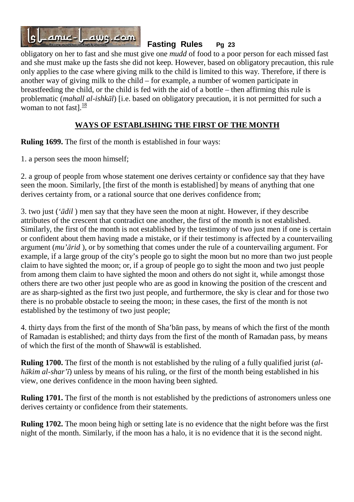

obligatory on her to fast and she must give one *mudd* of food to a poor person for each missed fast and she must make up the fasts she did not keep. However, based on obligatory precaution, this rule only applies to the case where giving milk to the child is limited to this way. Therefore, if there is another way of giving milk to the child – for example, a number of women participate in breastfeeding the child, or the child is fed with the aid of a bottle – then affirming this rule is problematic (*mahall al-ishkāl*) [i.e. based on obligatory precaution, it is not permitted for such a woman to not fast. $\frac{18}{18}$ 

# **WAYS OF ESTABLISHING THE FIRST OF THE MONTH**

**Ruling 1699.** The first of the month is established in four ways:

1. a person sees the moon himself;

2. a group of people from whose statement one derives certainty or confidence say that they have seen the moon. Similarly, [the first of the month is established] by means of anything that one derives certainty from, or a rational source that one derives confidence from;

3. two just (*'ādil* ) men say that they have seen the moon at night. However, if they describe attributes of the crescent that contradict one another, the first of the month is not established. Similarly, the first of the month is not established by the testimony of two just men if one is certain or confident about them having made a mistake, or if their testimony is affected by a countervailing argument (*mu'ārid* ), or by something that comes under the rule of a countervailing argument. For example, if a large group of the city's people go to sight the moon but no more than two just people claim to have sighted the moon; or, if a group of people go to sight the moon and two just people from among them claim to have sighted the moon and others do not sight it, while amongst those others there are two other just people who are as good in knowing the position of the crescent and are as sharp-sighted as the first two just people, and furthermore, the sky is clear and for those two there is no probable obstacle to seeing the moon; in these cases, the first of the month is not established by the testimony of two just people;

4. thirty days from the first of the month of Sha'bān pass, by means of which the first of the month of Ramadan is established; and thirty days from the first of the month of Ramadan pass, by means of which the first of the month of Shawwāl is established.

**Ruling 1700.** The first of the month is not established by the ruling of a fully qualified jurist (*alh* $\bar{a}$ *kim al-shar'ī*) unless by means of his ruling, or the first of the month being established in his view, one derives confidence in the moon having been sighted.

**Ruling 1701.** The first of the month is not established by the predictions of astronomers unless one derives certainty or confidence from their statements.

**Ruling 1702.** The moon being high or setting late is no evidence that the night before was the first night of the month. Similarly, if the moon has a halo, it is no evidence that it is the second night.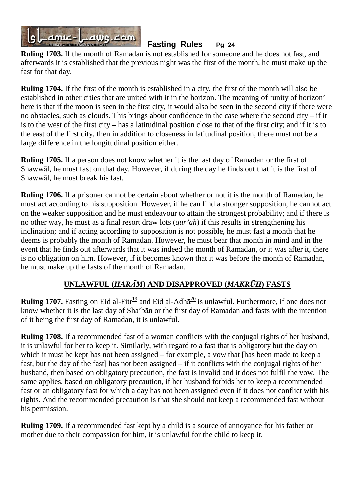

**Ruling 1703.** If the month of Ramadan is not established for someone and he does not fast, and afterwards it is established that the previous night was the first of the month, he must make up the fast for that day.

**Ruling 1704.** If the first of the month is established in a city, the first of the month will also be established in other cities that are united with it in the horizon. The meaning of 'unity of horizon' here is that if the moon is seen in the first city, it would also be seen in the second city if there were no obstacles, such as clouds. This brings about confidence in the case where the second city – if it is to the west of the first city – has a latitudinal position close to that of the first city; and if it is to the east of the first city, then in addition to closeness in latitudinal position, there must not be a large difference in the longitudinal position either.

**Ruling 1705.** If a person does not know whether it is the last day of Ramadan or the first of Shawwāl, he must fast on that day. However, if during the day he finds out that it is the first of Shawwāl, he must break his fast.

**Ruling 1706.** If a prisoner cannot be certain about whether or not it is the month of Ramadan, he must act according to his supposition. However, if he can find a stronger supposition, he cannot act on the weaker supposition and he must endeavour to attain the strongest probability; and if there is no other way, he must as a final resort draw lots (*qur'ah*) if this results in strengthening his inclination; and if acting according to supposition is not possible, he must fast a month that he deems is probably the month of Ramadan. However, he must bear that month in mind and in the event that he finds out afterwards that it was indeed the month of Ramadan, or it was after it, there is no obligation on him. However, if it becomes known that it was before the month of Ramadan, he must make up the fasts of the month of Ramadan.

# **UNLAWFUL (***HARĀM***) AND DISAPPROVED (***MAKRŪH***) FASTS**

Ruling 1707. Fasting on Eid al-Fitr<sup>19</sup> and Eid al-Adhā<sup>20</sup> is unlawful. Furthermore, if one does not know whether it is the last day of Sha'bān or the first day of Ramadan and fasts with the intention of it being the first day of Ramadan, it is unlawful.

**Ruling 1708.** If a recommended fast of a woman conflicts with the conjugal rights of her husband, it is unlawful for her to keep it. Similarly, with regard to a fast that is obligatory but the day on which it must be kept has not been assigned – for example, a vow that [has been made to keep a fast, but the day of the fast] has not been assigned – if it conflicts with the conjugal rights of her husband, then based on obligatory precaution, the fast is invalid and it does not fulfil the vow. The same applies, based on obligatory precaution, if her husband forbids her to keep a recommended fast or an obligatory fast for which a day has not been assigned even if it does not conflict with his rights. And the recommended precaution is that she should not keep a recommended fast without his permission.

**Ruling 1709.** If a recommended fast kept by a child is a source of annoyance for his father or mother due to their compassion for him, it is unlawful for the child to keep it.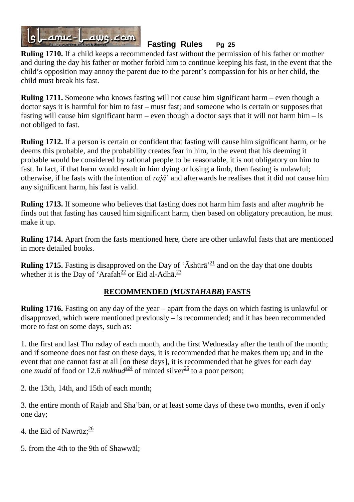

**Ruling 1710.** If a child keeps a recommended fast without the permission of his father or mother and during the day his father or mother forbid him to continue keeping his fast, in the event that the child's opposition may annoy the parent due to the parent's compassion for his or her child, the child must break his fast.

**Ruling 1711.** Someone who knows fasting will not cause him significant harm – even though a doctor says it is harmful for him to fast – must fast; and someone who is certain or supposes that fasting will cause him significant harm – even though a doctor says that it will not harm him – is not obliged to fast.

**Ruling 1712.** If a person is certain or confident that fasting will cause him significant harm, or he deems this probable, and the probability creates fear in him, in the event that his deeming it probable would be considered by rational people to be reasonable, it is not obligatory on him to fast. In fact, if that harm would result in him dying or losing a limb, then fasting is unlawful; otherwise, if he fasts with the intention of *rajā'* and afterwards he realises that it did not cause him any significant harm, his fast is valid.

**Ruling 1713.** If someone who believes that fasting does not harm him fasts and after *maghrib* he finds out that fasting has caused him significant harm, then based on obligatory precaution, he must make it up.

**Ruling 1714.** Apart from the fasts mentioned here, there are other unlawful fasts that are mentioned in more detailed books.

**Ruling 1715.** Fasting is disapproved on the Day of ' $\overline{A}$ shūr $\overline{a}$ ' and on the day that one doubts whether it is the Day of 'Arafah<sup>22</sup> or Eid al-Adhā.<sup>23</sup>

## **RECOMMENDED (***MUSTAHABB***) FASTS**

**Ruling 1716.** Fasting on any day of the year – apart from the days on which fasting is unlawful or disapproved, which were mentioned previously – is recommended; and it has been recommended more to fast on some days, such as:

1. the first and last Thu rsday of each month, and the first Wednesday after the tenth of the month; and if someone does not fast on these days, it is recommended that he makes them up; and in the event that one cannot fast at all [on these days], it is recommended that he gives for each day one *mudd* of food or 12.6 *nukhud*<sup> $\frac{624}{4}$ </sup> of minted silver<sup>25</sup> to a poor person;

2. the 13th, 14th, and 15th of each month;

3. the entire month of Rajab and Sha'bān, or at least some days of these two months, even if only one day;

4. the Eid of Nawrūz; $\frac{26}{5}$ 

5. from the 4th to the 9th of Shawwāl;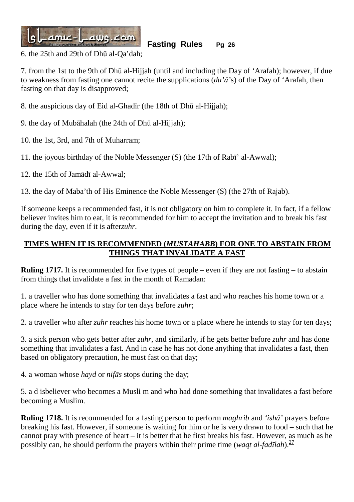

7. from the 1st to the 9th of Dhū al-Hijjah (until and including the Day of 'Arafah); however, if due to weakness from fasting one cannot recite the supplications (*du'ā'*s) of the Day of 'Arafah, then fasting on that day is disapproved;

8. the auspicious day of Eid al-Ghadīr (the 18th of Dhū al-Hijjah);

9. the day of Mubāhalah (the 24th of Dhū al-Hijjah);

10. the 1st, 3rd, and 7th of Muharram;

11. the joyous birthday of the Noble Messenger (S) (the 17th of Rabī' al-Awwal);

12. the 15th of Jamādī al-Awwal;

13. the day of Maba'th of His Eminence the Noble Messenger (S) (the 27th of Rajab).

If someone keeps a recommended fast, it is not obligatory on him to complete it. In fact, if a fellow believer invites him to eat, it is recommended for him to accept the invitation and to break his fast during the day, even if it is after*zuhr*.

### **TIMES WHEN IT IS RECOMMENDED (***MUSTAHABB***) FOR ONE TO ABSTAIN FROM THINGS THAT INVALIDATE A FAST**

**Ruling 1717.** It is recommended for five types of people – even if they are not fasting – to abstain from things that invalidate a fast in the month of Ramadan:

1. a traveller who has done something that invalidates a fast and who reaches his home town or a place where he intends to stay for ten days before *zuhr*;

2. a traveller who after *zuhr* reaches his home town or a place where he intends to stay for ten days;

3. a sick person who gets better after *zuhr*, and similarly, if he gets better before *zuhr* and has done something that invalidates a fast. And in case he has not done anything that invalidates a fast, then based on obligatory precaution, he must fast on that day;

4. a woman whose *hayd* or *nifās* stops during the day;

5. a d isbeliever who becomes a Musli m and who had done something that invalidates a fast before becoming a Muslim.

**Ruling 1718.** It is recommended for a fasting person to perform *maghrib* and *'ishā'* prayers before breaking his fast. However, if someone is waiting for him or he is very drawn to food – such that he cannot pray with presence of heart – it is better that he first breaks his fast. However, as much as he possibly can, he should perform the prayers within their prime time (*waqt al-fadīlah*).<sup>27</sup>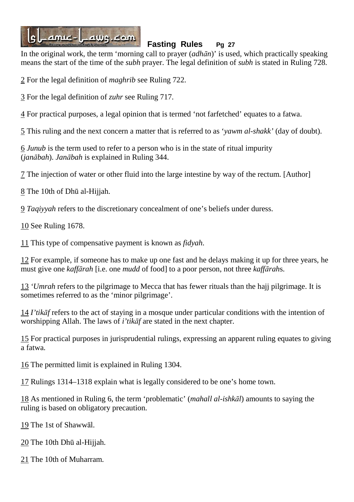

In the original work, the term 'morning call to prayer (*adhān*)' is used, which practically speaking means the start of the time of the *subh* prayer. The legal definition of *subh* is stated in Ruling 728.

2 For the legal definition of *maghrib* see Ruling 722.

3 For the legal definition of *zuhr* see Ruling 717.

4 For practical purposes, a legal opinion that is termed 'not farfetched' equates to a fatwa.

5 This ruling and the next concern a matter that is referred to as '*yawm al-shakk'* (day of doubt).

6 *Junub* is the term used to refer to a person who is in the state of ritual impurity (*janābah*). *Janābah* is explained in Ruling 344.

7 The injection of water or other fluid into the large intestine by way of the rectum. [Author]

8 The 10th of Dhū al-Hijjah.

9 *Taqiyyah* refers to the discretionary concealment of one's beliefs under duress.

10 See Ruling 1678.

11 This type of compensative payment is known as *fidyah*.

12 For example, if someone has to make up one fast and he delays making it up for three years, he must give one *kaffārah* [i.e. one *mudd* of food] to a poor person, not three *kaffārah*s.

13 *'Umrah* refers to the pilgrimage to Mecca that has fewer rituals than the hajj pilgrimage. It is sometimes referred to as the 'minor pilgrimage'.

14 *I'tikāf* refers to the act of staying in a mosque under particular conditions with the intention of worshipping Allah. The laws of *i'tikāf* are stated in the next chapter.

15 For practical purposes in jurisprudential rulings, expressing an apparent ruling equates to giving a fatwa.

16 The permitted limit is explained in Ruling 1304.

17 Rulings 1314–1318 explain what is legally considered to be one's home town.

18 As mentioned in Ruling 6, the term 'problematic' (*mahall al-ishkāl*) amounts to saying the ruling is based on obligatory precaution.

19 The 1st of Shawwāl.

20 The 10th Dhū al-Hijjah.

21 The 10th of Muharram.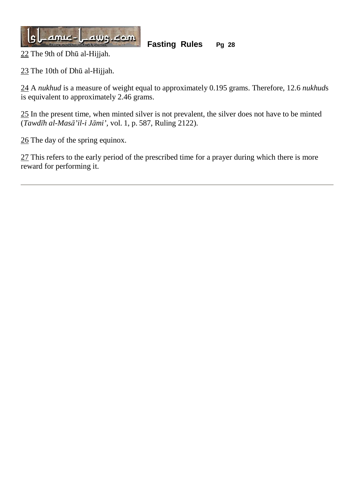

22 The 9th of Dhū al-Hijjah.

23 The 10th of Dhū al-Hijjah.

24 A *nukhud* is a measure of weight equal to approximately 0.195 grams. Therefore, 12.6 *nukhud*s is equivalent to approximately 2.46 grams.

25 In the present time, when minted silver is not prevalent, the silver does not have to be minted (*Tawdīh al-Masā'il-i Jāmi',* vol. 1, p. 587, Ruling 2122).

26 The day of the spring equinox.

27 This refers to the early period of the prescribed time for a prayer during which there is more reward for performing it.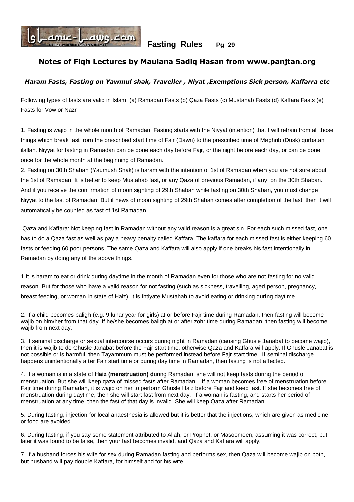

#### **Notes of Fiqh Lectures by Maulana Sadiq Hasan from www.panjtan.org**

#### *Haram Fasts, Fasting on Yawmul shak, Traveller , Niyat ,Exemptions Sick person, Kaffarra etc*

Following types of fasts are valid in Islam: (a) Ramadan Fasts (b) Qaza Fasts (c) Mustahab Fasts (d) Kaffara Fasts (e) Fasts for Vow or Nazr

1. Fasting is wajib in the whole month of Ramadan. Fasting starts with the Niyyat (intention) that I will refrain from all those things which break fast from the prescribed start time of Fajr (Dawn) to the prescribed time of Maghrib (Dusk) qurbatan ilallah. Niyyat for fasting in Ramadan can be done each day before Fajr, or the night before each day, or can be done once for the whole month at the beginning of Ramadan.

2. Fasting on 30th Shaban (Yaumush Shak) is haram with the intention of 1st of Ramadan when you are not sure about the 1st of Ramadan. It is better to keep Mustahab fast, or any Qaza of previous Ramadan, if any, on the 30th Shaban. And if you receive the confirmation of moon sighting of 29th Shaban while fasting on 30th Shaban, you must change Niyyat to the fast of Ramadan. But if news of moon sighting of 29th Shaban comes after completion of the fast, then it will automatically be counted as fast of 1st Ramadan.

 Qaza and Kaffara: Not keeping fast in Ramadan without any valid reason is a great sin. For each such missed fast, one has to do a Qaza fast as well as pay a heavy penalty called Kaffara. The kaffara for each missed fast is either keeping 60 fasts or feeding 60 poor persons. The same Qaza and Kaffara will also apply if one breaks his fast intentionally in Ramadan by doing any of the above things.

1.It is haram to eat or drink during daytime in the month of Ramadan even for those who are not fasting for no valid reason. But for those who have a valid reason for not fasting (such as sickness, travelling, aged person, pregnancy, breast feeding, or woman in state of Haiz), it is Ihtiyate Mustahab to avoid eating or drinking during daytime.

2. If a child becomes baligh (e.g. 9 lunar year for girls) at or before Fajr time during Ramadan, then fasting will become wajib on him/her from that day. If he/she becomes baligh at or after zohr time during Ramadan, then fasting will become wajib from next day.

3. If seminal discharge or sexual intercourse occurs during night in Ramadan (causing Ghusle Janabat to become wajib), then it is wajib to do Ghusle Janabat before the Fajr start time, otherwise Qaza and Kaffara will apply. If Ghusle Janabat is not possible or is harmful, then Tayammum must be performed instead before Fajr start time. If seminal discharge happens unintentionally after Fajr start time or during day time in Ramadan, then fasting is not affected.

4. If a woman is in a state of **Haiz (menstruation) d**uring Ramadan, she will not keep fasts during the period of menstruation. But she will keep qaza of missed fasts after Ramadan. . If a woman becomes free of menstruation before Fajr time during Ramadan, it is wajib on her to perform Ghusle Haiz before Fajr and keep fast. If she becomes free of menstruation during daytime, then she will start fast from next day. If a woman is fasting, and starts her period of menstruation at any time, then the fast of that day is invalid. She will keep Qaza after Ramadan.

5. During fasting, injection for local anaesthesia is allowed but it is better that the injections, which are given as medicine or food are avoided.

6. During fasting, if you say some statement attributed to Allah, or Prophet, or Masoomeen, assuming it was correct, but later it was found to be false, then your fast becomes invalid, and Qaza and Kaffara will apply.

7. If a husband forces his wife for sex during Ramadan fasting and performs sex, then Qaza will become wajib on both, but husband will pay double Kaffara, for himself and for his wife.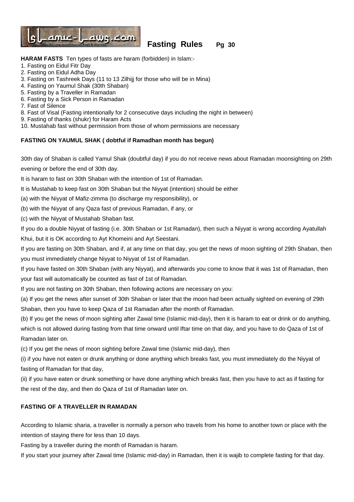

**HARAM FASTS** Ten types of fasts are haram (forbidden) in Islam:-

- 1. Fasting on Eidul Fitr Day
- 2. Fasting on Eidul Adha Day
- 3. Fasting on Tashreek Days (11 to 13 Zilhijj for those who will be in Mina)
- 4. Fasting on Yaumul Shak (30th Shaban)
- 5. Fasting by a Traveller in Ramadan
- 6. Fasting by a Sick Person in Ramadan
- 7. Fast of Silence
- 8. Fast of Visal (Fasting intentionally for 2 consecutive days including the night in between)
- 9. Fasting of thanks (shukr) for Haram Acts
- 10. Mustahab fast without permission from those of whom permissions are necessary

#### **FASTING ON YAUMUL SHAK ( dobtful if Ramadhan month has begun)**

30th day of Shaban is called Yamul Shak (doubtful day) if you do not receive news about Ramadan moonsighting on 29th evening or before the end of 30th day.

It is haram to fast on 30th Shaban with the intention of 1st of Ramadan.

It is Mustahab to keep fast on 30th Shaban but the Niyyat (intention) should be either

(a) with the Niyyat of Mafiz-zimma (to discharge my responsibility), or

(b) with the Niyyat of any Qaza fast of previous Ramadan, if any, or

(c) with the Niyyat of Mustahab Shaban fast.

If you do a double Niyyat of fasting (i.e. 30th Shaban or 1st Ramadan), then such a Niyyat is wrong according Ayatullah Khui, but it is OK according to Ayt Khomeini and Ayt Seestani.

If you are fasting on 30th Shaban, and if, at any time on that day, you get the news of moon sighting of 29th Shaban, then you must immediately change Niyyat to Niyyat of 1st of Ramadan.

If you have fasted on 30th Shaban (with any Niyyat), and afterwards you come to know that it was 1st of Ramadan, then your fast will automatically be counted as fast of 1st of Ramadan.

If you are not fasting on 30th Shaban, then following actions are necessary on you:

(a) If you get the news after sunset of 30th Shaban or later that the moon had been actually sighted on evening of 29th Shaban, then you have to keep Qaza of 1st Ramadan after the month of Ramadan.

(b) If you get the news of moon sighting after Zawal time (Islamic mid-day), then it is haram to eat or drink or do anything, which is not allowed during fasting from that time onward until Iftar time on that day, and you have to do Qaza of 1st of Ramadan later on.

(c) If you get the news of moon sighting before Zawal time (Islamic mid-day), then

(i) if you have not eaten or drunk anything or done anything which breaks fast, you must immediately do the Niyyat of fasting of Ramadan for that day,

(ii) if you have eaten or drunk something or have done anything which breaks fast, then you have to act as if fasting for the rest of the day, and then do Qaza of 1st of Ramadan later on.

#### **FASTING OF A TRAVELLER IN RAMADAN**

According to Islamic sharia, a traveller is normally a person who travels from his home to another town or place with the intention of staying there for less than 10 days.

Fasting by a traveller during the month of Ramadan is haram.

If you start your journey after Zawal time (Islamic mid-day) in Ramadan, then it is wajib to complete fasting for that day.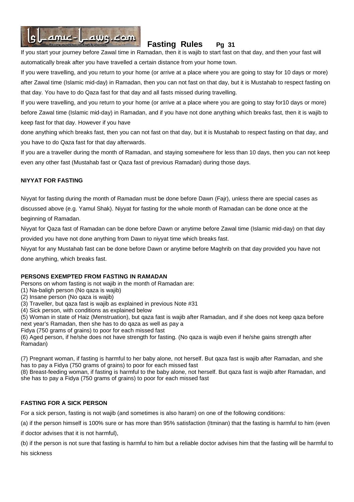#### awg com  $am<sub>i</sub>$ awareness on Figh & L

#### **Fasting Rules Pg 31**

If you start your journey before Zawal time in Ramadan, then it is wajib to start fast on that day, and then your fast will automatically break after you have travelled a certain distance from your home town.

If you were travelling, and you return to your home (or arrive at a place where you are going to stay for 10 days or more) after Zawal time (Islamic mid-day) in Ramadan, then you can not fast on that day, but it is Mustahab to respect fasting on that day. You have to do Qaza fast for that day and all fasts missed during travelling.

If you were travelling, and you return to your home (or arrive at a place where you are going to stay for10 days or more) before Zawal time (Islamic mid-day) in Ramadan, and if you have not done anything which breaks fast, then it is wajib to keep fast for that day. However if you have

done anything which breaks fast, then you can not fast on that day, but it is Mustahab to respect fasting on that day, and you have to do Qaza fast for that day afterwards.

If you are a traveller during the month of Ramadan, and staying somewhere for less than 10 days, then you can not keep even any other fast (Mustahab fast or Qaza fast of previous Ramadan) during those days.

#### **NIYYAT FOR FASTING**

Niyyat for fasting during the month of Ramadan must be done before Dawn (Fajr), unless there are special cases as discussed above (e.g. Yamul Shak). Niyyat for fasting for the whole month of Ramadan can be done once at the beginning of Ramadan.

Niyyat for Qaza fast of Ramadan can be done before Dawn or anytime before Zawal time (Islamic mid-day) on that day provided you have not done anything from Dawn to niyyat time which breaks fast.

Niyyat for any Mustahab fast can be done before Dawn or anytime before Maghrib on that day provided you have not done anything, which breaks fast.

#### **PERSONS EXEMPTED FROM FASTING IN RAMADAN**

Persons on whom fasting is not wajib in the month of Ramadan are:

- (1) Na-baligh person (No qaza is wajib)
- (2) Insane person (No qaza is wajib)
- (3) Traveller, but qaza fast is wajib as explained in previous Note #31
- (4) Sick person, with conditions as explained below

(5) Woman in state of Haiz (Menstruation), but qaza fast is wajib after Ramadan, and if she does not keep qaza before next year's Ramadan, then she has to do qaza as well as pay a

Fidya (750 grams of grains) to poor for each missed fast

(6) Aged person, if he/she does not have strength for fasting. (No qaza is wajib even if he/she gains strength after Ramadan)

(7) Pregnant woman, if fasting is harmful to her baby alone, not herself. But qaza fast is wajib after Ramadan, and she has to pay a Fidya (750 grams of grains) to poor for each missed fast

(8) Breast-feeding woman, if fasting is harmful to the baby alone, not herself. But qaza fast is wajib after Ramadan, and she has to pay a Fidya (750 grams of grains) to poor for each missed fast

#### **FASTING FOR A SICK PERSON**

For a sick person, fasting is not wajib (and sometimes is also haram) on one of the following conditions:

(a) if the person himself is 100% sure or has more than 95% satisfaction (Itminan) that the fasting is harmful to him (even

if doctor advises that it is not harmful),

(b) if the person is not sure that fasting is harmful to him but a reliable doctor advises him that the fasting will be harmful to his sickness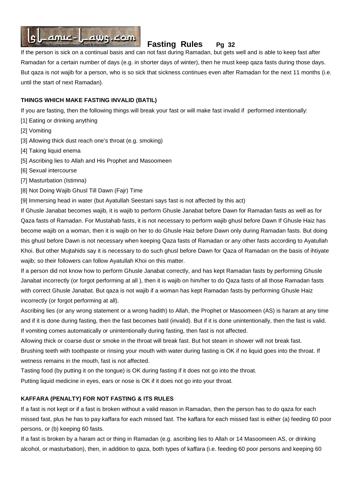

If the person is sick on a continual basis and can not fast during Ramadan, but gets well and is able to keep fast after Ramadan for a certain number of days (e.g. in shorter days of winter), then he must keep qaza fasts during those days. But qaza is not wajib for a person, who is so sick that sickness continues even after Ramadan for the next 11 months (i.e. until the start of next Ramadan).

#### **THINGS WHICH MAKE FASTING INVALID (BATIL)**

If you are fasting, then the following things will break your fast or will make fast invalid if performed intentionally:

- [1] Eating or drinking anything
- [2] Vomiting
- [3] Allowing thick dust reach one's throat (e.g. smoking)
- [4] Taking liquid enema
- [5] Ascribing lies to Allah and His Prophet and Masoomeen
- [6] Sexual intercourse
- [7] Masturbation (Istimna)
- [8] Not Doing Wajib Ghusl Till Dawn (Fajr) Time

[9] Immersing head in water (but Ayatullah Seestani says fast is not affected by this act)

If Ghusle Janabat becomes wajib, it is wajib to perform Ghusle Janabat before Dawn for Ramadan fasts as well as for Qaza fasts of Ramadan. For Mustahab fasts, it is not necessary to perform wajib ghusl before Dawn If Ghusle Haiz has become wajib on a woman, then it is wajib on her to do Ghusle Haiz before Dawn only during Ramadan fasts. But doing this ghusl before Dawn is not necessary when keeping Qaza fasts of Ramadan or any other fasts according to Ayatullah Khoi. But other Mujtahids say it is necessary to do such ghusl before Dawn for Qaza of Ramadan on the basis of ihtiyate wajib; so their followers can follow Ayatullah Khoi on this matter.

If a person did not know how to perform Ghusle Janabat correctly, and has kept Ramadan fasts by performing Ghusle Janabat incorrectly (or forgot performing at all ), then it is wajib on him/her to do Qaza fasts of all those Ramadan fasts with correct Ghusle Janabat. But qaza is not wajib if a woman has kept Ramadan fasts by performing Ghusle Haiz incorrectly (or forgot performing at all).

Ascribing lies (or any wrong statement or a wrong hadith) to Allah, the Prophet or Masoomeen (AS) is haram at any time and if it is done during fasting, then the fast becomes batil (invalid). But if it is done unintentionally, then the fast is valid. If vomiting comes automatically or unintentionally during fasting, then fast is not affected.

Allowing thick or coarse dust or smoke in the throat will break fast. But hot steam in shower will not break fast.

Brushing teeth with toothpaste or rinsing your mouth with water during fasting is OK if no liquid goes into the throat. If wetness remains in the mouth, fast is not affected.

Tasting food (by putting it on the tongue) is OK during fasting if it does not go into the throat.

Putting liquid medicine in eyes, ears or nose is OK if it does not go into your throat.

#### **KAFFARA (PENALTY) FOR NOT FASTING & ITS RULES**

If a fast is not kept or if a fast is broken without a valid reason in Ramadan, then the person has to do qaza for each missed fast, plus he has to pay kaffara for each missed fast. The kaffara for each missed fast is either (a) feeding 60 poor persons, or (b) keeping 60 fasts.

If a fast is broken by a haram act or thing in Ramadan (e.g. ascribing lies to Allah or 14 Masoomeen AS, or drinking alcohol, or masturbation), then, in addition to qaza, both types of kaffara (i.e. feeding 60 poor persons and keeping 60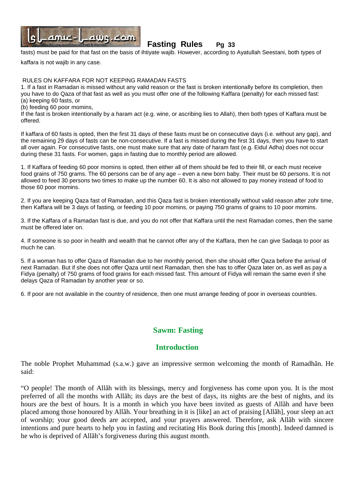

fasts) must be paid for that fast on the basis of ihtiyate wajib. However, according to Ayatullah Seestani, both types of

kaffara is not wajib in any case.

#### RULES ON KAFFARA FOR NOT KEEPING RAMADAN FASTS

1. If a fast in Ramadan is missed without any valid reason or the fast is broken intentionally before its completion, then you have to do Qaza of that fast as well as you must offer one of the following Kaffara (penalty) for each missed fast: (a) keeping 60 fasts, or

(b) feeding 60 poor momins,

If the fast is broken intentionally by a haram act (e.g. wine, or ascribing lies to Allah), then both types of Kaffara must be offered.

If kaffara of 60 fasts is opted, then the first 31 days of these fasts must be on consecutive days (i.e. without any gap), and the remaining 29 days of fasts can be non-consecutive. If a fast is missed during the first 31 days, then you have to start all over again. For consecutive fasts, one must make sure that any date of haram fast (e.g. Eidul Adha) does not occur during these 31 fasts. For women, gaps in fasting due to monthly period are allowed.

1. If Kaffara of feeding 60 poor momins is opted, then either all of them should be fed to their fill, or each must receive food grains of 750 grams. The 60 persons can be of any age – even a new born baby. Their must be 60 persons. It is not allowed to feed 30 persons two times to make up the number 60. It is also not allowed to pay money instead of food to those 60 poor momins.

2. If you are keeping Qaza fast of Ramadan, and this Qaza fast is broken intentionally without valid reason after zohr time, then Kaffara will be 3 days of fasting, or feeding 10 poor momins, or paying 750 grams of grains to 10 poor momins.

3. If the Kaffara of a Ramadan fast is due, and you do not offer that Kaffara until the next Ramadan comes, then the same must be offered later on.

4. If someone is so poor in health and wealth that he cannot offer any of the Kaffara, then he can give Sadaqa to poor as much he can.

5. If a woman has to offer Qaza of Ramadan due to her monthly period, then she should offer Qaza before the arrival of next Ramadan. But if she does not offer Qaza until next Ramadan, then she has to offer Qaza later on, as well as pay a Fidya (penalty) of 750 grams of food grains for each missed fast. This amount of Fidya will remain the same even if she delays Qaza of Ramadan by another year or so.

6. If poor are not available in the country of residence, then one must arrange feeding of poor in overseas countries.

#### **Sawm: Fasting**

#### **Introduction**

The noble Prophet Muhammad (s.a.w.) gave an impressive sermon welcoming the month of Ramadhãn. He said:

"O people! The month of Allãh with its blessings, mercy and forgiveness has come upon you. It is the most preferred of all the months with Allãh; its days are the best of days, its nights are the best of nights, and its hours are the best of hours. It is a month in which you have been invited as guests of Allãh and have been placed among those honoured by Allãh. Your breathing in it is [like] an act of praising [Allãh], your sleep an act of worship; your good deeds are accepted, and your prayers answered. Therefore, ask Allãh with sincere intentions and pure hearts to help you in fasting and recitating His Book during this [month]. Indeed damned is he who is deprived of Allãh's forgiveness during this august month.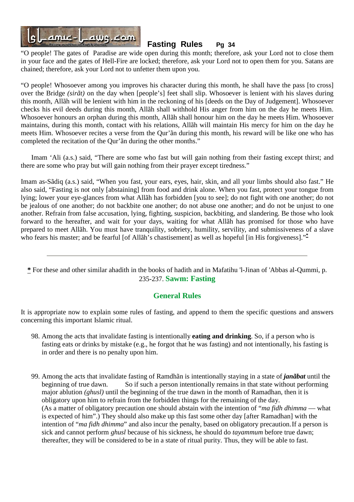

"O people! The gates of Paradise are wide open during this month; therefore, ask your Lord not to close them in your face and the gates of Hell-Fire are locked; therefore, ask your Lord not to open them for you. Satans are chained; therefore, ask your Lord not to unfetter them upon you.

"O people! Whosoever among you improves his character during this month, he shall have the pass [to cross] over the Bridge *(sirãt)* on the day when [people's] feet shall slip. Whosoever is lenient with his slaves during this month, Allãh will be lenient with him in the reckoning of his [deeds on the Day of Judgement]. Whosoever checks his evil deeds during this month, Allãh shall withhold His anger from him on the day he meets Him. Whosoever honours an orphan during this month, Allãh shall honour him on the day he meets Him. Whosoever maintains, during this month, contact with his relations, Allãh will maintain His mercy for him on the day he meets Him. Whosoever recites a verse from the Qur'ãn during this month, his reward will be like one who has completed the recitation of the Qur'ãn during the other months."

 Imam 'Ali (a.s.) said, "There are some who fast but will gain nothing from their fasting except thirst; and there are some who pray but will gain nothing from their prayer except tiredness."

Imam as-Sãdiq (a.s.) said, "When you fast, your ears, eyes, hair, skin, and all your limbs should also fast." He also said, "Fasting is not only [abstaining] from food and drink alone. When you fast, protect your tongue from lying; lower your eye-glances from what Allãh has forbidden [you to see]; do not fight with one another; do not be jealous of one another; do not backbite one another; do not abuse one another; and do not be unjust to one another. Refrain from false accusation, lying, fighting, suspicion, backbiting, and slandering. Be those who look forward to the hereafter, and wait for your days, waiting for what Allãh has promised for those who have prepared to meet Allãh. You must have tranquility, sobriety, humility, servility, and submissiveness of a slave who fears his master; and be fearful [of Allãh's chastisement] as well as hopeful [in His forgiveness]."<sup>\*</sup>

**\*** For these and other similar ahadith in the books of hadith and in Mafatihu 'l-Jinan of 'Abbas al-Qummi, p. 235-237. **Sawm: Fasting**

#### **General Rules**

It is appropriate now to explain some rules of fasting, and append to them the specific questions and answers concerning this important Islamic ritual.

- 98. Among the acts that invalidate fasting is intentionally **eating and drinking**. So, if a person who is fasting eats or drinks by mistake (e.g., he forgot that he was fasting) and not intentionally, his fasting is in order and there is no penalty upon him.
- 99. Among the acts that invalidate fasting of Ramdhãn is intentionally staying in a state of *janãbat* until the beginning of true dawn. So if such a person intentionally remains in that state without performing major ablution *(ghusl)* until the beginning of the true dawn in the month of Ramadhan, then it is obligatory upon him to refrain from the forbidden things for the remaining of the day. (As a matter of obligatory precaution one should abstain with the intention of "*ma fidh dhimma* — what is expected of him".) They should also make up this fast some other day [after Ramadhan] with the intention of "*ma fidh dhimma*" and also incur the penalty, based on obligatory precaution. If a person is sick and cannot perform *ghusl* because of his sickness, he should do *tayammum* before true dawn; thereafter, they will be considered to be in a state of ritual purity. Thus, they will be able to fast.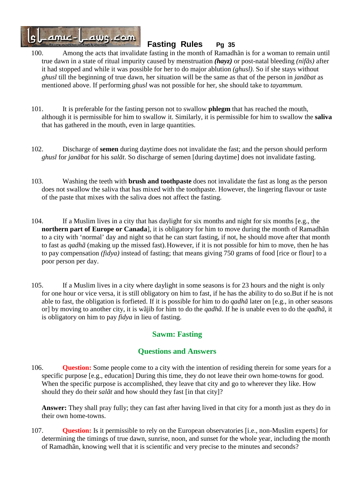

- 100. Among the acts that invalidate fasting in the month of Ramadhãn is for a woman to remain until true dawn in a state of ritual impurity caused by menstruation *(hayz)* or post-natal bleeding *(nifãs)* after it had stopped and while it was possible for her to do major ablution *(ghusl)*. So if she stays without *ghusl* till the beginning of true dawn, her situation will be the same as that of the person in *janãbat* as mentioned above. If performing *ghusl* was not possible for her, she should take to *tayammum.*
- 101. It is preferable for the fasting person not to swallow **phlegm** that has reached the mouth, although it is permissible for him to swallow it. Similarly, it is permissible for him to swallow the **saliva** that has gathered in the mouth, even in large quantities.
- 102. Discharge of **semen** during daytime does not invalidate the fast; and the person should perform *ghusl* for *janãbat* for his *salãt*. So discharge of semen [during daytime] does not invalidate fasting.
- 103. Washing the teeth with **brush and toothpaste** does not invalidate the fast as long as the person does not swallow the saliva that has mixed with the toothpaste. However, the lingering flavour or taste of the paste that mixes with the saliva does not affect the fasting.
- 104. If a Muslim lives in a city that has daylight for six months and night for six months [e.g., the **northern part of Europe or Canada**], it is obligatory for him to move during the month of Ramadhãn to a city with 'normal' day and night so that he can start fasting, if not, he should move after that month to fast as *qadhã* (making up the missed fast). However, if it is not possible for him to move, then he has to pay compensation *(fidya)* instead of fasting; that means giving 750 grams of food [rice or flour] to a poor person per day.
- 105. If a Muslim lives in a city where daylight in some seasons is for 23 hours and the night is only for one hour or vice versa, it is still obligatory on him to fast, if he has the ability to do so.But if he is not able to fast, the obligation is forfieted. If it is possible for him to do *qadhã* later on [e.g., in other seasons or] by moving to another city, it is wãjib for him to do the *qadhã*. If he is unable even to do the *qadhã*, it is obligatory on him to pay *fidya* in lieu of fasting.

#### **Sawm: Fasting**

#### **Questions and Answers**

106. **Question:** Some people come to a city with the intention of residing therein for some years for a specific purpose [e.g., education] During this time, they do not leave their own home-towns for good. When the specific purpose is accomplished, they leave that city and go to wherever they like. How should they do their *salãt* and how should they fast [in that city]?

**Answer:** They shall pray fully; they can fast after having lived in that city for a month just as they do in their own home-towns.

107. **Question:** Is it permissible to rely on the European observatories [i.e., non-Muslim experts] for determining the timings of true dawn, sunrise, noon, and sunset for the whole year, including the month of Ramadhãn, knowing well that it is scientific and very precise to the minutes and seconds?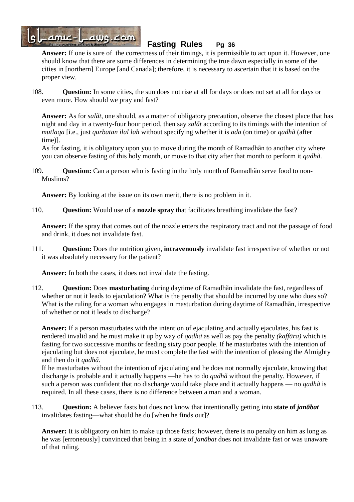

**Answer:** If one is sure of the correctness of their timings, it is permissible to act upon it. However, one should know that there are some differences in determining the true dawn especially in some of the cities in [northern] Europe [and Canada]; therefore, it is necessary to ascertain that it is based on the proper view.

108. **Question:** In some cities, the sun does not rise at all for days or does not set at all for days or even more. How should we pray and fast?

**Answer:** As for *salãt*, one should, as a matter of obligatory precaution, observe the closest place that has night and day in a twenty-four hour period, then say *salãt* according to its timings with the intention of *mutlaqa* [i.e., just *qurbatan ilal lah* without specifying whether it is *ada* (on time) or *qadhã* (after time)].

As for fasting, it is obligatory upon you to move during the month of Ramadhãn to another city where you can observe fasting of this holy month, or move to that city after that month to perform it *qadhã*.

109. **Question:** Can a person who is fasting in the holy month of Ramadhãn serve food to non-Muslims?

**Answer:** By looking at the issue on its own merit, there is no problem in it.

110. **Question:** Would use of a **nozzle spray** that facilitates breathing invalidate the fast?

**Answer:** If the spray that comes out of the nozzle enters the respiratory tract and not the passage of food and drink, it does not invalidate fast.

111. **Question:** Does the nutrition given, **intravenously** invalidate fast irrespective of whether or not it was absolutely necessary for the patient?

**Answer:** In both the cases, it does not invalidate the fasting.

112. **Question:** Does **masturbating** during daytime of Ramadhãn invalidate the fast, regardless of whether or not it leads to ejaculation? What is the penalty that should be incurred by one who does so? What is the ruling for a woman who engages in masturbation during daytime of Ramadhãn, irrespective of whether or not it leads to discharge?

**Answer:** If a person masturbates with the intention of ejaculating and actually ejaculates, his fast is rendered invalid and he must make it up by way of *qadhã* as well as pay the penalty *(kaffãra)* which is fasting for two successive months or feeding sixty poor people. If he masturbates with the intention of ejaculating but does not ejaculate, he must complete the fast with the intention of pleasing the Almighty and then do it *qadhã.*

If he masturbates without the intention of ejaculating and he does not normally ejaculate, knowing that discharge is probable and it actually happens —he has to do *qadhã* without the penalty. However, if such a person was confident that no discharge would take place and it actually happens — no *qadhã* is required. In all these cases, there is no difference between a man and a woman.

113. **Question:** A believer fasts but does not know that intentionally getting into **state of** *janãbat* invalidates fasting—what should he do [when he finds out]?

**Answer:** It is obligatory on him to make up those fasts; however, there is no penalty on him as long as he was [erroneously] convinced that being in a state of *janãbat* does not invalidate fast or was unaware of that ruling.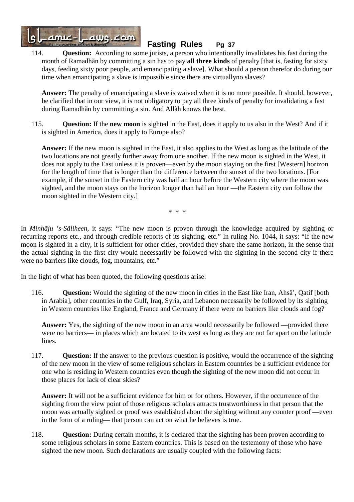

114. **Question:** According to some jurists, a person who intentionally invalidates his fast during the month of Ramadhãn by committing a sin has to pay **all three kinds** of penalty [that is, fasting for sixty days, feeding sixty poor people, and emancipating a slave]. What should a person therefor do during our time when emancipating a slave is impossible since there are virtuallyno slaves?

**Answer:** The penalty of emancipating a slave is waived when it is no more possible. It should, however, be clarified that in our view, it is not obligatory to pay all three kinds of penalty for invalidating a fast during Ramadhãn by committing a sin. And Allãh knows the best.

115. **Question:** If the **new moon** is sighted in the East, does it apply to us also in the West? And if it is sighted in America, does it apply to Europe also?

**Answer:** If the new moon is sighted in the East, it also applies to the West as long as the latitude of the two locations are not greatly further away from one another. If the new moon is sighted in the West, it does not apply to the East unless it is proven—even by the moon staying on the first [Western] horizon for the length of time that is longer than the difference between the sunset of the two locations. [For example, if the sunset in the Eastern city was half an hour before the Western city where the moon was sighted, and the moon stays on the horizon longer than half an hour —the Eastern city can follow the moon sighted in the Western city.]

\* \* \*

In *Minhãju 's-Sãliheen,* it says: "The new moon is proven through the knowledge acquired by sighting or recurring reports etc., and through credible reports of its sighting, etc." In ruling No. 1044, it says: "If the new moon is sighted in a city, it is sufficient for other cities, provided they share the same horizon, in the sense that the actual sighting in the first city would necessarily be followed with the sighting in the second city if there were no barriers like clouds, fog, mountains, etc."

In the light of what has been quoted, the following questions arise:

116. **Question:** Would the sighting of the new moon in cities in the East like Iran, Ahsã', Qatíf [both in Arabia], other countries in the Gulf, Iraq, Syria, and Lebanon necessarily be followed by its sighting in Western countries like England, France and Germany if there were no barriers like clouds and fog?

**Answer:** Yes, the sighting of the new moon in an area would necessarily be followed —provided there were no barriers— in places which are located to its west as long as they are not far apart on the latitude lines.

117. **Question:** If the answer to the previous question is positive, would the occurrence of the sighting of the new moon in the view of some religious scholars in Eastern countries be a sufficient evidence for one who is residing in Western countries even though the sighting of the new moon did not occur in those places for lack of clear skies?

**Answer:** It will not be a sufficient evidence for him or for others. However, if the occurrence of the sighting from the view point of those religious scholars attracts trustworthiness in that person that the moon was actually sighted or proof was established about the sighting without any counter proof —even in the form of a ruling— that person can act on what he believes is true.

118. **Question:** During certain months, it is declared that the sighting has been proven according to some religious scholars in some Eastern countries. This is based on the testemony of those who have sighted the new moon. Such declarations are usually coupled with the following facts: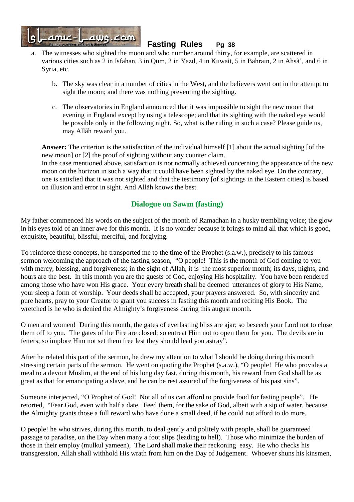

- a. The witnesses who sighted the moon and who number around thirty, for example, are scattered in various cities such as 2 in Isfahan, 3 in Qum, 2 in Yazd, 4 in Kuwait, 5 in Bahrain, 2 in Ahsã', and 6 in Syria, etc.
	- b. The sky was clear in a number of cities in the West, and the believers went out in the attempt to sight the moon; and there was nothing preventing the sighting.
	- c. The observatories in England announced that it was impossible to sight the new moon that evening in England except by using a telescope; and that its sighting with the naked eye would be possible only in the following night. So, what is the ruling in such a case? Please guide us, may Allãh reward you.

**Answer:** The criterion is the satisfaction of the individual himself [1] about the actual sighting [of the new moon] or [2] the proof of sighting without any counter claim. In the case mentioned above, satisfaction is not normally achieved concerning the appearance of the new moon on the horizon in such a way that it could have been sighted by the naked eye. On the contrary, one is satisfied that it was not sighted and that the testimony [of sightings in the Eastern cities] is based on illusion and error in sight. And Allãh knows the best.

#### **Dialogue on Sawm (fasting)**

My father commenced his words on the subject of the month of Ramadhan in a husky trembling voice; the glow in his eyes told of an inner awe for this month. It is no wonder because it brings to mind all that which is good, exquisite, beautiful, blissful, merciful, and forgiving.

To reinforce these concepts, he transported me to the time of the Prophet (s.a.w.), precisely to his famous sermon welcoming the approach of the fasting season, "O people! This is the month of God coming to you with mercy, blessing, and forgiveness; in the sight of Allah, it is the most superior month; its days, nights, and hours are the best. In this month you are the guests of God, enjoying His hospitality. You have been rendered among those who have won His grace. Your every breath shall be deemed utterances of glory to His Name, your sleep a form of worship. Your deeds shall be accepted, your prayers answered. So, with sincerity and pure hearts, pray to your Creator to grant you success in fasting this month and reciting His Book. The wretched is he who is denied the Almighty's forgiveness during this august month.

O men and women! During this month, the gates of everlasting bliss are ajar; so beseech your Lord not to close them off to you. The gates of the Fire are closed; so entreat Him not to open them for you. The devils are in fetters; so implore Him not set them free lest they should lead you astray".

After he related this part of the sermon, he drew my attention to what I should be doing during this month stressing certain parts of the sermon. He went on quoting the Prophet (s.a.w.), "O people! He who provides a meal to a devout Muslim, at the end of his long day fast, during this month, his reward from God shall be as great as that for emancipating a slave, and he can be rest assured of the forgiveness of his past sins".

Someone interjected, "O Prophet of God! Not all of us can afford to provide food for fasting people". He retorted, "Fear God, even with half a date. Feed them, for the sake of God, albeit with a sip of water, because the Almighty grants those a full reward who have done a small deed, if he could not afford to do more.

O people! he who strives, during this month, to deal gently and politely with people, shall be guaranteed passage to paradise, on the Day when many a foot slips (leading to hell). Those who minimize the burden of those in their employ (mulkul yameen), The Lord shall make their reckoning easy. He who checks his transgression, Allah shall withhold His wrath from him on the Day of Judgement. Whoever shuns his kinsmen,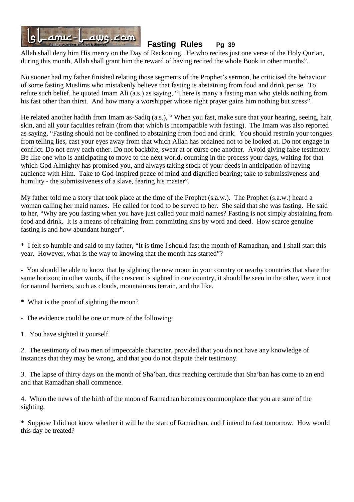

Allah shall deny him His mercy on the Day of Reckoning. He who recites just one verse of the Holy Qur'an, during this month, Allah shall grant him the reward of having recited the whole Book in other months".

No sooner had my father finished relating those segments of the Prophet's sermon, he criticised the behaviour of some fasting Muslims who mistakenly believe that fasting is abstaining from food and drink per se. To refute such belief, he quoted Imam Ali (a.s.) as saying, "There is many a fasting man who yields nothing from his fast other than thirst. And how many a worshipper whose night prayer gains him nothing but stress".

He related another hadith from Imam as-Sadiq (a.s.), " When you fast, make sure that your hearing, seeing, hair, skin, and all your faculties refrain (from that which is incompatible with fasting). The Imam was also reported as saying, "Fasting should not be confined to abstaining from food and drink. You should restrain your tongues from telling lies, cast your eyes away from that which Allah has ordained not to be looked at. Do not engage in conflict. Do not envy each other. Do not backbite, swear at or curse one another. Avoid giving false testimony. Be like one who is anticipating to move to the next world, counting in the process your days, waiting for that which God Almighty has promised you, and always taking stock of your deeds in anticipation of having audience with Him. Take to God-inspired peace of mind and dignified bearing; take to submissiveness and humility - the submissiveness of a slave, fearing his master".

My father told me a story that took place at the time of the Prophet (s.a.w.). The Prophet (s.a.w.) heard a woman calling her maid names. He called for food to be served to her. She said that she was fasting. He said to her, "Why are you fasting when you have just called your maid names? Fasting is not simply abstaining from food and drink. It is a means of refraining from committing sins by word and deed. How scarce genuine fasting is and how abundant hunger".

\* I felt so humble and said to my father, "It is time I should fast the month of Ramadhan, and I shall start this year. However, what is the way to knowing that the month has started"?

- You should be able to know that by sighting the new moon in your country or nearby countries that share the same horizon; in other words, if the crescent is sighted in one country, it should be seen in the other, were it not for natural barriers, such as clouds, mountainous terrain, and the like.

\* What is the proof of sighting the moon?

- The evidence could be one or more of the following:

1. You have sighted it yourself.

2. The testimony of two men of impeccable character, provided that you do not have any knowledge of instances that they may be wrong, and that you do not dispute their testimony.

3. The lapse of thirty days on the month of Sha'ban, thus reaching certitude that Sha'ban has come to an end and that Ramadhan shall commence.

4. When the news of the birth of the moon of Ramadhan becomes commonplace that you are sure of the sighting.

\* Suppose I did not know whether it will be the start of Ramadhan, and I intend to fast tomorrow. How would this day be treated?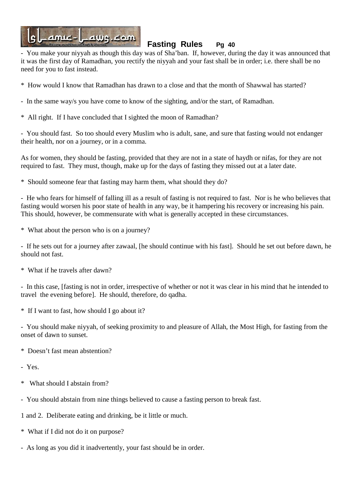

- You make your niyyah as though this day was of Sha'ban. If, however, during the day it was announced that it was the first day of Ramadhan, you rectify the niyyah and your fast shall be in order; i.e. there shall be no need for you to fast instead.

\* How would I know that Ramadhan has drawn to a close and that the month of Shawwal has started?

- In the same way/s you have come to know of the sighting, and/or the start, of Ramadhan.
- \* All right. If I have concluded that I sighted the moon of Ramadhan?

- You should fast. So too should every Muslim who is adult, sane, and sure that fasting would not endanger their health, nor on a journey, or in a comma.

As for women, they should be fasting, provided that they are not in a state of haydh or nifas, for they are not required to fast. They must, though, make up for the days of fasting they missed out at a later date.

\* Should someone fear that fasting may harm them, what should they do?

- He who fears for himself of falling ill as a result of fasting is not required to fast. Nor is he who believes that fasting would worsen his poor state of health in any way, be it hampering his recovery or increasing his pain. This should, however, be commensurate with what is generally accepted in these circumstances.

\* What about the person who is on a journey?

- If he sets out for a journey after zawaal, [he should continue with his fast]. Should he set out before dawn, he should not fast.

\* What if he travels after dawn?

- In this case, [fasting is not in order, irrespective of whether or not it was clear in his mind that he intended to travel the evening before]. He should, therefore, do qadha.

\* If I want to fast, how should I go about it?

- You should make niyyah, of seeking proximity to and pleasure of Allah, the Most High, for fasting from the onset of dawn to sunset.

- \* Doesn't fast mean abstention?
- Yes.
- \* What should I abstain from?
- You should abstain from nine things believed to cause a fasting person to break fast.
- 1 and 2. Deliberate eating and drinking, be it little or much.
- \* What if I did not do it on purpose?
- As long as you did it inadvertently, your fast should be in order.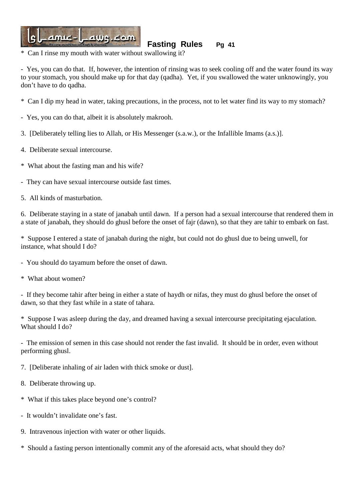

\* Can I rinse my mouth with water without swallowing it?

- Yes, you can do that. If, however, the intention of rinsing was to seek cooling off and the water found its way to your stomach, you should make up for that day (qadha). Yet, if you swallowed the water unknowingly, you don't have to do qadha.

\* Can I dip my head in water, taking precautions, in the process, not to let water find its way to my stomach?

- Yes, you can do that, albeit it is absolutely makrooh.

- 3. [Deliberately telling lies to Allah, or His Messenger (s.a.w.), or the Infallible Imams (a.s.)].
- 4. Deliberate sexual intercourse.
- \* What about the fasting man and his wife?
- They can have sexual intercourse outside fast times.
- 5. All kinds of masturbation.

6. Deliberate staying in a state of janabah until dawn. If a person had a sexual intercourse that rendered them in a state of janabah, they should do ghusl before the onset of fajr (dawn), so that they are tahir to embark on fast.

\* Suppose I entered a state of janabah during the night, but could not do ghusl due to being unwell, for instance, what should I do?

- You should do tayamum before the onset of dawn.
- \* What about women?

- If they become tahir after being in either a state of haydh or nifas, they must do ghusl before the onset of dawn, so that they fast while in a state of tahara.

\* Suppose I was asleep during the day, and dreamed having a sexual intercourse precipitating ejaculation. What should I do?

- The emission of semen in this case should not render the fast invalid. It should be in order, even without performing ghusl.

- 7. [Deliberate inhaling of air laden with thick smoke or dust].
- 8. Deliberate throwing up.
- \* What if this takes place beyond one's control?
- It wouldn't invalidate one's fast.
- 9. Intravenous injection with water or other liquids.
- \* Should a fasting person intentionally commit any of the aforesaid acts, what should they do?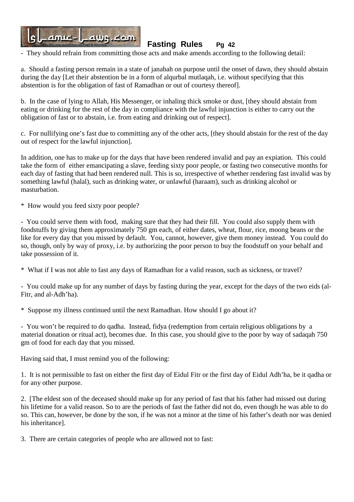

- They should refrain from committing those acts and make amends according to the following detail:

a. Should a fasting person remain in a state of janabah on purpose until the onset of dawn, they should abstain during the day [Let their abstention be in a form of alqurbal mutlaqah, i.e. without specifying that this abstention is for the obligation of fast of Ramadhan or out of courtesy thereof].

b. In the case of lying to Allah, His Messenger, or inhaling thick smoke or dust, [they should abstain from eating or drinking for the rest of the day in compliance with the lawful injunction is either to carry out the obligation of fast or to abstain, i.e. from eating and drinking out of respect].

c. For nullifying one's fast due to committing any of the other acts, [they should abstain for the rest of the day out of respect for the lawful injunction].

In addition, one has to make up for the days that have been rendered invalid and pay an expiation. This could take the form of either emancipating a slave, feeding sixty poor people, or fasting two consecutive months for each day of fasting that had been rendered null. This is so, irrespective of whether rendering fast invalid was by something lawful (halal), such as drinking water, or unlawful (haraam), such as drinking alcohol or masturbation.

\* How would you feed sixty poor people?

- You could serve them with food, making sure that they had their fill. You could also supply them with foodstuffs by giving them approximately 750 gm each, of either dates, wheat, flour, rice, moong beans or the like for every day that you missed by default. You, cannot, however, give them money instead. You could do so, though, only by way of proxy, i.e. by authorizing the poor person to buy the foodstuff on your behalf and take possession of it.

\* What if I was not able to fast any days of Ramadhan for a valid reason, such as sickness, or travel?

- You could make up for any number of days by fasting during the year, except for the days of the two eids (al-Fitr, and al-Adh'ha).

\* Suppose my illness continued until the next Ramadhan. How should I go about it?

- You won't be required to do qadha. Instead, fidya (redemption from certain religious obligations by a material donation or ritual act), becomes due. In this case, you should give to the poor by way of sadaqah 750 gm of food for each day that you missed.

Having said that, I must remind you of the following:

1. It is not permissible to fast on either the first day of Eidul Fitr or the first day of Eidul Adh'ha, be it qadha or for any other purpose.

2. [The eldest son of the deceased should make up for any period of fast that his father had missed out during his lifetime for a valid reason. So to are the periods of fast the father did not do, even though he was able to do so. This can, however, be done by the son, if he was not a minor at the time of his father's death nor was denied his inheritance].

3. There are certain categories of people who are allowed not to fast: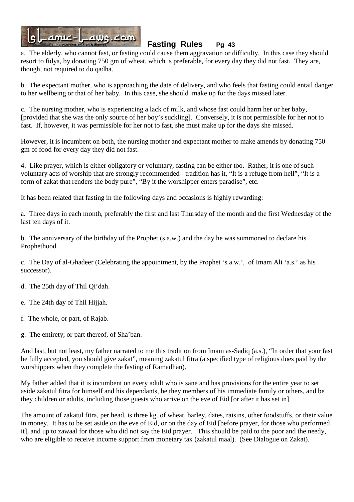#### amieawe.com awareness on Figh & Ul

### **Fasting Rules Pg 43**

a. The elderly, who cannot fast, or fasting could cause them aggravation or difficulty. In this case they should resort to fidya, by donating 750 gm of wheat, which is preferable, for every day they did not fast. They are, though, not required to do qadha.

b. The expectant mother, who is approaching the date of delivery, and who feels that fasting could entail danger to her wellbeing or that of her baby. In this case, she should make up for the days missed later.

c. The nursing mother, who is experiencing a lack of milk, and whose fast could harm her or her baby, [provided that she was the only source of her boy's suckling]. Conversely, it is not permissible for her not to fast. If, however, it was permissible for her not to fast, she must make up for the days she missed.

However, it is incumbent on both, the nursing mother and expectant mother to make amends by donating 750 gm of food for every day they did not fast.

4. Like prayer, which is either obligatory or voluntary, fasting can be either too. Rather, it is one of such voluntary acts of worship that are strongly recommended - tradition has it, "It is a refuge from hell", "It is a form of zakat that renders the body pure", "By it the worshipper enters paradise", etc.

It has been related that fasting in the following days and occasions is highly rewarding:

a. Three days in each month, preferably the first and last Thursday of the month and the first Wednesday of the last ten days of it.

b. The anniversary of the birthday of the Prophet (s.a.w.) and the day he was summoned to declare his Prophethood.

c. The Day of al-Ghadeer (Celebrating the appointment, by the Prophet 's.a.w.', of Imam Ali 'a.s.' as his successor).

- d. The 25th day of Thil Qi'dah.
- e. The 24th day of Thil Hijjah.
- f. The whole, or part, of Rajab.

g. The entirety, or part thereof, of Sha'ban.

And last, but not least, my father narrated to me this tradition from Imam as-Sadiq (a.s.), "In order that your fast be fully accepted, you should give zakat", meaning zakatul fitra (a specified type of religious dues paid by the worshippers when they complete the fasting of Ramadhan).

My father added that it is incumbent on every adult who is sane and has provisions for the entire year to set aside zakatul fitra for himself and his dependants, be they members of his immediate family or others, and be they children or adults, including those guests who arrive on the eve of Eid [or after it has set in].

The amount of zakatul fitra, per head, is three kg. of wheat, barley, dates, raisins, other foodstuffs, or their value in money. It has to be set aside on the eve of Eid, or on the day of Eid [before prayer, for those who performed it], and up to zawaal for those who did not say the Eid prayer. This should be paid to the poor and the needy, who are eligible to receive income support from monetary tax (zakatul maal). (See Dialogue on Zakat).